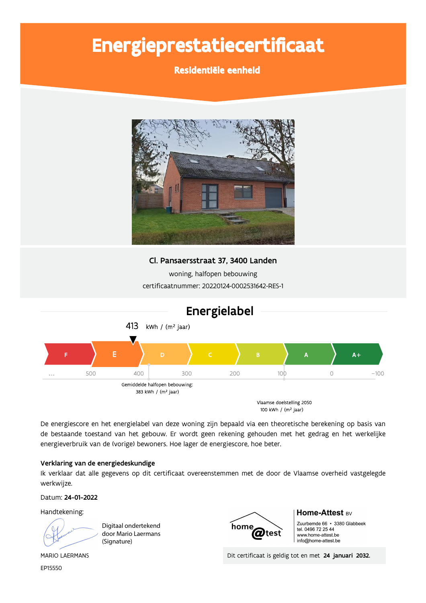# Energieprestatiecertificaat

Residentiële eenheid



## Cl. Pansaersstraat 37, 3400 Landen

woning, halfopen bebouwing certificaatnummer: 20220124-0002531642-RES-1



De energiescore en het energielabel van deze woning zijn bepaald via een theoretische berekening op basis van de bestaande toestand van het gebouw. Er wordt geen rekening gehouden met het gedrag en het werkelijke energieverbruik van de (vorige) bewoners. Hoe lager de energiescore, hoe beter.

## Verklaring van de energiedeskundige

Ik verklaar dat alle gegevens op dit certificaat overeenstemmen met de door de Vlaamse overheid vastgelegde werkwijze.

Datum: 24-01-2022

Handtekening:

Digitaal ondertekend door Mario Laermans (Signature)



## Home-Attest BV

Zuurbemde 66 · 3380 Glabbeek tel. 0496 72 25 44 www.home-attest.be info@home-attest.be

Dit certificaat is geldig tot en met 24 januari 2032.

**MARIO LAERMANS** EP15550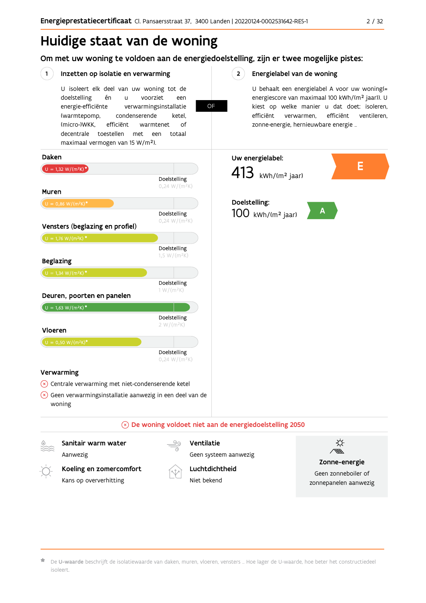## Huidige staat van de woning

Om met uw woning te voldoen aan de energiedoelstelling, zijn er twee mogelijke pistes:

**OF** 

#### $(1)$ Inzetten op isolatie en verwarming

U isoleert elk deel van uw woning tot de doelstelling én  $\mathbf{u}$ voorziet een energie-efficiënte verwarmingsinstallatie (warmtepomp, condenserende ketel. (micro-)WKK. efficiënt warmtenet  $\bigcap_{ }$ decentrale toestellen met een totaal maximaal vermogen van 15 W/m<sup>2</sup>).

 $2^{\circ}$ Energielabel van de woning

> U behaalt een energielabel A voor uw woning(= energiescore van maximaal 100 kWh/(m<sup>2</sup> jaar)). U kiest op welke manier u dat doet: isoleren, efficiënt ventileren, efficiënt verwarmen, zonne-energie, hernieuwbare energie ...



Aanwezig Koeling en zomercomfort

Kans op oververhitting

Geen systeem aanwezig

Luchtdichtheid Niet bekend



Geen zonneboiler of zonnepanelen aanwezig

De U-waarde beschrijft de isolatiewaarde van daken, muren, vloeren, vensters ... Hoe lager de U-waarde, hoe beter het constructiedeel isoleert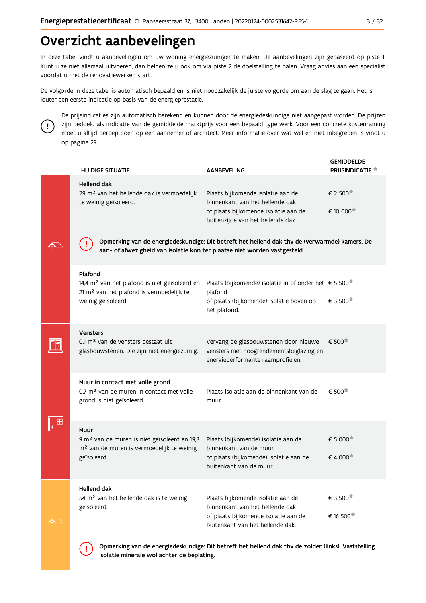## Overzicht aanbevelingen

In deze tabel vindt u aanbevelingen om uw woning energiezuiniger te maken. De aanbevelingen zijn gebaseerd op piste 1. Kunt u ze niet allemaal uitvoeren, dan helpen ze u ook om via piste 2 de doelstelling te halen. Vraag advies aan een specialist voordat u met de renovatiewerken start.

De volgorde in deze tabel is automatisch bepaald en is niet noodzakelijk de juiste volgorde om aan de slag te gaan. Het is louter een eerste indicatie op basis van de energieprestatie.



Ţ

De prijsindicaties zijn automatisch berekend en kunnen door de energiedeskundige niet aangepast worden. De prijzen zijn bedoeld als indicatie van de gemiddelde marktprijs voor een bepaald type werk. Voor een concrete kostenraming moet u altijd beroep doen op een aannemer of architect. Meer informatie over wat wel en niet inbegrepen is vindt u op pagina 29.

|                   | <b>HUIDIGE SITUATIE</b>                                                                                                                                                    | <b>AANBEVELING</b>                                                                                                                                | <b>GEMIDDELDE</b><br><b>PRIJSINDICATIE</b>  |  |  |  |  |  |  |  |  |
|-------------------|----------------------------------------------------------------------------------------------------------------------------------------------------------------------------|---------------------------------------------------------------------------------------------------------------------------------------------------|---------------------------------------------|--|--|--|--|--|--|--|--|
|                   | <b>Hellend dak</b><br>29 m <sup>2</sup> van het hellende dak is vermoedelijk<br>te weinig geïsoleerd.                                                                      | Plaats bijkomende isolatie aan de<br>binnenkant van het hellende dak<br>of plaats bijkomende isolatie aan de<br>buitenzijde van het hellende dak. | € 2 500<br>€ 10 000 <sup>★</sup>            |  |  |  |  |  |  |  |  |
|                   | Opmerking van de energiedeskundige: Dit betreft het hellend dak thv de (verwarmde) kamers. De<br>aan- of afwezigheid van isolatie kon ter plaatse niet worden vastgesteld. |                                                                                                                                                   |                                             |  |  |  |  |  |  |  |  |
|                   | Plafond<br>14,4 m <sup>2</sup> van het plafond is niet geïsoleerd en<br>21 m <sup>2</sup> van het plafond is vermoedelijk te<br>weinig geïsoleerd.                         | Plaats (bijkomende) isolatie in of onder het € 5 500 $^{\frac{1}{n}}$<br>plafond<br>of plaats (bijkomende) isolatie boven op<br>het plafond.      | € 3 500                                     |  |  |  |  |  |  |  |  |
|                   | <b>Vensters</b><br>0,1 m <sup>2</sup> van de vensters bestaat uit<br>glasbouwstenen. Die zijn niet energiezuinig.                                                          | Vervang de glasbouwstenen door nieuwe<br>vensters met hoogrendementsbeglazing en<br>energieperformante raamprofielen.                             | € 500                                       |  |  |  |  |  |  |  |  |
|                   | Muur in contact met volle grond<br>0,7 m <sup>2</sup> van de muren in contact met volle<br>grond is niet geïsoleerd.                                                       | Plaats isolatie aan de binnenkant van de<br>muur.                                                                                                 | € 500                                       |  |  |  |  |  |  |  |  |
|                   | Muur<br>9 m <sup>2</sup> van de muren is niet geïsoleerd en 19,3<br>m <sup>2</sup> van de muren is vermoedelijk te weinig<br>geïsoleerd.                                   | Plaats (bijkomende) isolatie aan de<br>binnenkant van de muur<br>of plaats (bijkomende) isolatie aan de<br>buitenkant van de muur.                | € 5 000 <sup><math>#</math></sup><br>€4 000 |  |  |  |  |  |  |  |  |
| $\curvearrowleft$ | Hellend dak<br>54 m <sup>2</sup> van het hellende dak is te weinig<br>geïsoleerd.                                                                                          | Plaats bijkomende isolatie aan de<br>binnenkant van het hellende dak<br>of plaats bijkomende isolatie aan de<br>buitenkant van het hellende dak.  | € 3 500<br>€ 16 500 <sup>★</sup>            |  |  |  |  |  |  |  |  |

Opmerking van de energiedeskundige: Dit betreft het hellend dak thv de zolder (links). Vaststelling isolatie minerale wol achter de beplating.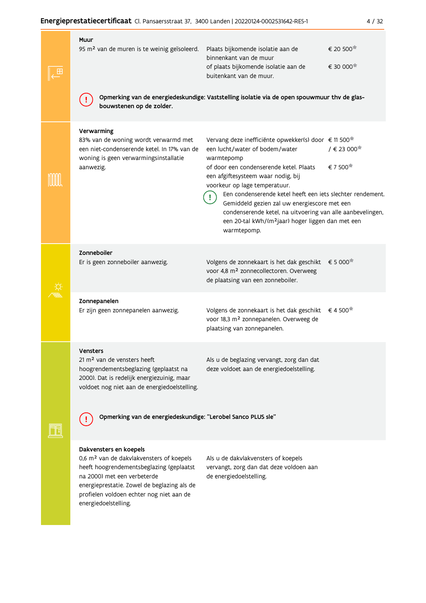|  | Muur                                                                                                                                                                                                     |                                                                                                                                                                                                                                                                                                                                                                                                                                                                                                                            |
|--|----------------------------------------------------------------------------------------------------------------------------------------------------------------------------------------------------------|----------------------------------------------------------------------------------------------------------------------------------------------------------------------------------------------------------------------------------------------------------------------------------------------------------------------------------------------------------------------------------------------------------------------------------------------------------------------------------------------------------------------------|
|  | 95 m <sup>2</sup> van de muren is te weinig geïsoleerd.                                                                                                                                                  | € 20 500<br>Plaats bijkomende isolatie aan de<br>binnenkant van de muur<br>€ 30 000 <sup>★</sup><br>of plaats bijkomende isolatie aan de<br>buitenkant van de muur.                                                                                                                                                                                                                                                                                                                                                        |
|  | bouwstenen op de zolder.                                                                                                                                                                                 | Opmerking van de energiedeskundige: Vaststelling isolatie via de open spouwmuur thv de glas-                                                                                                                                                                                                                                                                                                                                                                                                                               |
|  | Verwarming<br>83% van de woning wordt verwarmd met<br>een niet-condenserende ketel. In 17% van de<br>woning is geen verwarmingsinstallatie<br>aanwezig.                                                  | Vervang deze inefficiënte opwekker(s) door € 11 500 <sup>*</sup><br>$/ \in 23000$<br>een lucht/water of bodem/water<br>warmtepomp<br>€ 7 500<br>of door een condenserende ketel. Plaats<br>een afgiftesysteem waar nodig, bij<br>voorkeur op lage temperatuur.<br>Een condenserende ketel heeft een iets slechter rendement.<br>Gemiddeld gezien zal uw energiescore met een<br>condenserende ketel, na uitvoering van alle aanbevelingen,<br>een 20-tal kWh/(m <sup>2</sup> jaar) hoger liggen dan met een<br>warmtepomp. |
|  | Zonneboiler<br>Er is geen zonneboiler aanwezig.                                                                                                                                                          | € 5 000<br>Volgens de zonnekaart is het dak geschikt<br>voor 4,8 m <sup>2</sup> zonnecollectoren. Overweeg<br>de plaatsing van een zonneboiler.                                                                                                                                                                                                                                                                                                                                                                            |
|  | Zonnepanelen<br>Er zijn geen zonnepanelen aanwezig.                                                                                                                                                      | € 4 500<br>Volgens de zonnekaart is het dak geschikt<br>voor 18,3 m <sup>2</sup> zonnepanelen. Overweeg de<br>plaatsing van zonnepanelen.                                                                                                                                                                                                                                                                                                                                                                                  |
|  | Vensters<br>21 m <sup>2</sup> van de vensters heeft<br>hoogrendementsbeglazing (geplaatst na<br>2000). Dat is redelijk energiezuinig, maar<br>voldoet nog niet aan de energiedoelstelling.               | Als u de beglazing vervangt, zorg dan dat<br>deze voldoet aan de energiedoelstelling.                                                                                                                                                                                                                                                                                                                                                                                                                                      |
|  | Opmerking van de energiedeskundige: "Lerobel Sanco PLUS sle"                                                                                                                                             |                                                                                                                                                                                                                                                                                                                                                                                                                                                                                                                            |
|  | Dakvensters en koepels<br>0,6 m <sup>2</sup> van de dakvlakvensters of koepels<br>heeft hoogrendementsbeglazing (geplaatst<br>na 2000) met een verbeterde<br>energieprestatie. Zowel de beglazing als de | Als u de dakvlakvensters of koepels<br>vervangt, zorg dan dat deze voldoen aan<br>de energiedoelstelling.                                                                                                                                                                                                                                                                                                                                                                                                                  |

profielen voldoen echter nog niet aan de

energiedoelstelling.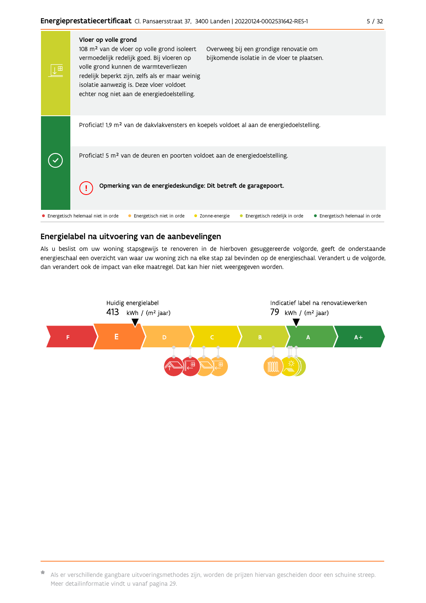| 宙 | Vloer op volle grond<br>108 m <sup>2</sup> van de vloer op volle grond isoleert<br>Overweeg bij een grondige renovatie om<br>bijkomende isolatie in de vloer te plaatsen.<br>vermoedelijk redelijk goed. Bij vloeren op<br>volle grond kunnen de warmteverliezen<br>redelijk beperkt zijn, zelfs als er maar weinig<br>isolatie aanwezig is. Deze vloer voldoet<br>echter nog niet aan de energiedoelstelling. |
|---|----------------------------------------------------------------------------------------------------------------------------------------------------------------------------------------------------------------------------------------------------------------------------------------------------------------------------------------------------------------------------------------------------------------|
|   | Proficiat! 1,9 m <sup>2</sup> van de dakvlakvensters en koepels voldoet al aan de energiedoelstelling.                                                                                                                                                                                                                                                                                                         |
|   | Proficiat! 5 m <sup>2</sup> van de deuren en poorten voldoet aan de energiedoelstelling.                                                                                                                                                                                                                                                                                                                       |
|   | Opmerking van de energiedeskundige: Dit betreft de garagepoort.                                                                                                                                                                                                                                                                                                                                                |
|   | • Energetisch helemaal niet in orde<br>Energetisch niet in orde<br>Energetisch redelijk in orde<br>• Energetisch helemaal in orde<br>Zonne-energie                                                                                                                                                                                                                                                             |

## Energielabel na uitvoering van de aanbevelingen

Als u beslist om uw woning stapsgewijs te renoveren in de hierboven gesuggereerde volgorde, geeft de onderstaande energieschaal een overzicht van waar uw woning zich na elke stap zal bevinden op de energieschaal. Verandert u de volgorde, dan verandert ook de impact van elke maatregel. Dat kan hier niet weergegeven worden.



<sup>\*</sup> Als er verschillende gangbare uitvoeringsmethodes zijn, worden de prijzen hiervan gescheiden door een schuine streep. Meer detailinformatie vindt u vanaf pagina 29.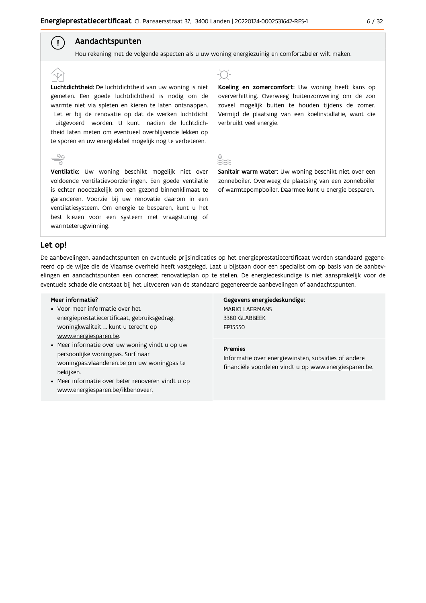## Aandachtspunten

Hou rekening met de volgende aspecten als u uw woning energiezuinig en comfortabeler wilt maken.

Luchtdichtheid: De luchtdichtheid van uw woning is niet gemeten. Een goede luchtdichtheid is nodig om de warmte niet via spleten en kieren te laten ontsnappen. Let er bij de renovatie op dat de werken luchtdicht uitgevoerd worden. U kunt nadien de luchtdichtheid laten meten om eventueel overblijvende lekken op te sporen en uw energielabel mogelijk nog te verbeteren.

Ventilatie: Uw woning beschikt mogelijk niet over voldoende ventilatievoorzieningen. Een goede ventilatie is echter noodzakelijk om een gezond binnenklimaat te garanderen. Voorzie bij uw renovatie daarom in een ventilatiesysteem. Om energie te besparen, kunt u het best kiezen voor een systeem met vraagsturing of warmteterugwinning.



Koeling en zomercomfort: Uw woning heeft kans op oververhitting. Overweeg buitenzonwering om de zon zoveel mogelijk buiten te houden tijdens de zomer. Vermijd de plaatsing van een koelinstallatie, want die verbruikt veel energie.

Sanitair warm water: Uw woning beschikt niet over een zonneboiler. Overweeg de plaatsing van een zonneboiler of warmtepompboiler. Daarmee kunt u energie besparen.

### Let op!

 $\left( \begin{array}{c} 1 \end{array} \right)$ 

De aanbevelingen, aandachtspunten en eventuele prijsindicaties op het energieprestatiecertificaat worden standaard gegenereerd op de wijze die de Vlaamse overheid heeft vastgelegd. Laat u bijstaan door een specialist om op basis van de aanbevelingen en aandachtspunten een concreet renovatieplan op te stellen. De energiedeskundige is niet aansprakelijk voor de eventuele schade die ontstaat bij het uitvoeren van de standaard gegenereerde aanbevelingen of aandachtspunten.

#### Meer informatie?

- Voor meer informatie over het energieprestatiecertificaat, gebruiksgedrag, woningkwaliteit ... kunt u terecht op www.energiesparen.be.
- Meer informatie over uw woning vindt u op uw persoonlijke woningpas. Surf naar woningpas.vlaanderen.be om uw woningpas te bekijken.
- Meer informatie over beter renoveren vindt u op www.energiesparen.be/ikbenoveer.

Gegevens energiedeskundige: MARIO LAERMANS 3380 GLABBEEK **FP15550** 

#### **Premies**

Informatie over energiewinsten, subsidies of andere financiële voordelen vindt u op www.energiesparen.be.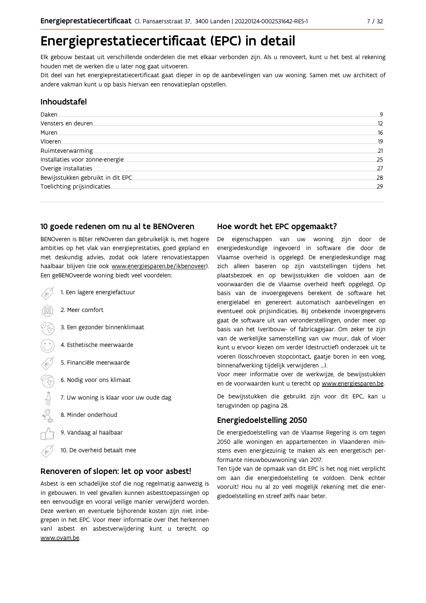## Energieprestatiecertificaat (EPC) in detail

Elk gebouw bestaat uit verschillende onderdelen die met elkaar verbonden zijn. Als u renoveert, kunt u het best al rekening houden met de werken die u later nog gaat uitvoeren.

Dit deel van het energieprestatiecertificaat gaat dieper in op de aanbevelingen van uw woning. Samen met uw architect of andere vakman kunt u op basis hiervan een renovatieplan opstellen.

### Inhoudstafel

| Daken                             | 9  |
|-----------------------------------|----|
| Vensters en deuren                | 12 |
| Muren                             | 16 |
| <b>Vloeren</b>                    | 19 |
| Ruimteverwarming                  | 21 |
| Installaties voor zonne-energie.  | 25 |
| Overige installaties              | 27 |
| Bewijsstukken gebruikt in dit EPC | 28 |
| Toelichting prijsindicaties       | 29 |
|                                   |    |

## 10 goede redenen om nu al te BENOveren

BENOveren is BEter reNOveren dan gebruikelijk is, met hogere ambities op het vlak van energieprestaties, goed gepland en met deskundig advies, zodat ook latere renovatiestappen haalbaar blijven (zie ook www.energiesparen.be/ikbenoveer). Een geBENOveerde woning biedt veel voordelen:

- 1. Een lagere energiefactuur 2. Meer comfort 3. Een gezonder binnenklimaat 4. Esthetische meerwaarde 5. Financiële meerwaarde  $\sqrt{3}$ 6. Nodig voor ons klimaat  $\begin{picture}(150,10) \put(0,0){\line(1,0){10}} \put(15,0){\line(1,0){10}} \put(15,0){\line(1,0){10}} \put(15,0){\line(1,0){10}} \put(15,0){\line(1,0){10}} \put(15,0){\line(1,0){10}} \put(15,0){\line(1,0){10}} \put(15,0){\line(1,0){10}} \put(15,0){\line(1,0){10}} \put(15,0){\line(1,0){10}} \put(15,0){\line(1,0){10}} \put(15,0){\line($ 7. Uw woning is klaar voor uw oude dag 8. Minder onderhoud 9. Vandaag al haalbaar
	- 10. De overheid betaalt mee

### Renoveren of slopen: let op voor asbest!

Asbest is een schadelijke stof die nog regelmatig aanwezig is in gebouwen. In veel gevallen kunnen asbesttoepassingen op een eenvoudige en vooral veilige manier verwijderd worden. Deze werken en eventuele bijhorende kosten zijn niet inbegrepen in het EPC. Voor meer informatie over (het herkennen van) asbest en asbestverwijdering kunt u terecht op www.ovam.be.

## Hoe wordt het EPC opgemaakt?

De eigenschappen van uw woning zijn door de energiedeskundige ingevoerd in software die door de Vlaamse overheid is opgelegd. De energiedeskundige mag zich alleen baseren op zijn vaststellingen tijdens het plaatsbezoek en op bewijsstukken die voldoen aan de voorwaarden die de Vlaamse overheid heeft opgelegd. Op basis van de invoergegevens berekent de software het energielabel en genereert automatisch aanbevelingen en eventueel ook prijsindicaties. Bij onbekende invoergegevens gaat de software uit van veronderstellingen, onder meer op basis van het (ver)bouw- of fabricagejaar. Om zeker te zijn van de werkelijke samenstelling van uw muur, dak of vloer kunt u ervoor kiezen om verder (destructief) onderzoek uit te voeren (losschroeven stopcontact, gaatje boren in een voeg, binnenafwerking tijdelijk verwijderen ...).

Voor meer informatie over de werkwijze, de bewijsstukken en de voorwaarden kunt u terecht op www.energiesparen.be.

De bewijsstukken die gebruikt zijn voor dit EPC, kan u terugvinden op pagina 28.

## **Energiedoelstelling 2050**

De energiedoelstelling van de Vlaamse Regering is om tegen 2050 alle woningen en appartementen in Vlaanderen minstens even energiezuinig te maken als een energetisch performante nieuwbouwwoning van 2017.

Ten tijde van de opmaak van dit EPC is het nog niet verplicht om aan die energiedoelstelling te voldoen. Denk echter vooruit! Hou nu al zo veel mogelijk rekening met die energiedoelstelling en streef zelfs naar beter.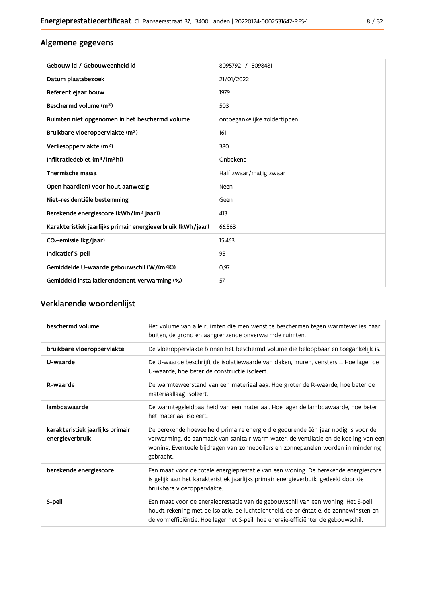## Algemene gegevens

| Gebouw id / Gebouweenheid id                                | 8095792 / 8098481            |
|-------------------------------------------------------------|------------------------------|
| Datum plaatsbezoek                                          | 21/01/2022                   |
| Referentiejaar bouw                                         | 1979                         |
| Beschermd volume (m <sup>3</sup> )                          | 503                          |
| Ruimten niet opgenomen in het beschermd volume              | ontoegankelijke zoldertippen |
| Bruikbare vloeroppervlakte (m <sup>2</sup> )                | 161                          |
| Verliesoppervlakte (m <sup>2</sup> )                        | 380                          |
| Infiltratiedebiet $(m^3/(m^2h))$                            | Onbekend                     |
| Thermische massa                                            | Half zwaar/matig zwaar       |
| Open haard(en) voor hout aanwezig                           | Neen                         |
| Niet-residentiële bestemming                                | Geen                         |
| Berekende energiescore (kWh/(m <sup>2</sup> jaar))          | 413                          |
| Karakteristiek jaarlijks primair energieverbruik (kWh/jaar) | 66.563                       |
| CO <sub>2</sub> -emissie (kg/jaar)                          | 15.463                       |
| Indicatief S-peil                                           | 95                           |
| Gemiddelde U-waarde gebouwschil (W/(m <sup>2</sup> K))      | 0.97                         |
| Gemiddeld installatierendement verwarming (%)               | 57                           |

## Verklarende woordenlijst

| beschermd volume                                    | Het volume van alle ruimten die men wenst te beschermen tegen warmteverlies naar<br>buiten, de grond en aangrenzende onverwarmde ruimten.                                                                                                                                 |
|-----------------------------------------------------|---------------------------------------------------------------------------------------------------------------------------------------------------------------------------------------------------------------------------------------------------------------------------|
| bruikbare vloeroppervlakte                          | De vloeroppervlakte binnen het beschermd volume die beloopbaar en toegankelijk is.                                                                                                                                                                                        |
| U-waarde                                            | De U-waarde beschrijft de isolatiewaarde van daken, muren, vensters  Hoe lager de<br>U-waarde, hoe beter de constructie isoleert.                                                                                                                                         |
| R-waarde                                            | De warmteweerstand van een materiaallaag. Hoe groter de R-waarde, hoe beter de<br>materiaallaag isoleert.                                                                                                                                                                 |
| lambdawaarde                                        | De warmtegeleidbaarheid van een materiaal. Hoe lager de lambdawaarde, hoe beter<br>het materiaal isoleert.                                                                                                                                                                |
| karakteristiek jaarlijks primair<br>energieverbruik | De berekende hoeveelheid primaire energie die gedurende één jaar nodig is voor de<br>verwarming, de aanmaak van sanitair warm water, de ventilatie en de koeling van een<br>woning. Eventuele bijdragen van zonneboilers en zonnepanelen worden in mindering<br>gebracht. |
| berekende energiescore                              | Een maat voor de totale energieprestatie van een woning. De berekende energiescore<br>is gelijk aan het karakteristiek jaarlijks primair energieverbuik, gedeeld door de<br>bruikbare vloeroppervlakte.                                                                   |
| S-peil                                              | Een maat voor de energieprestatie van de gebouwschil van een woning. Het S-peil<br>houdt rekening met de isolatie, de luchtdichtheid, de oriëntatie, de zonnewinsten en<br>de vormefficiëntie. Hoe lager het S-peil, hoe energie-efficiënter de gebouwschil.              |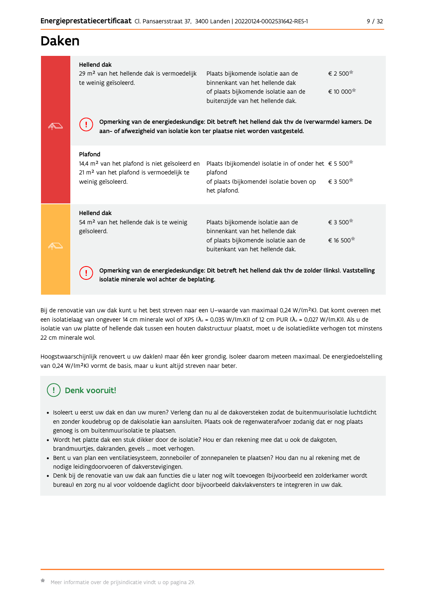## Daken

| <b>Hellend dak</b><br>29 m <sup>2</sup> van het hellende dak is vermoedelijk<br>te weinig geïsoleerd.                                              | Plaats bijkomende isolatie aan de<br>binnenkant van het hellende dak<br>of plaats bijkomende isolatie aan de<br>buitenzijde van het hellende dak.       | $\epsilon$ 2 500 $^{\ast}$<br>€ 10 000 <sup>★</sup> |
|----------------------------------------------------------------------------------------------------------------------------------------------------|---------------------------------------------------------------------------------------------------------------------------------------------------------|-----------------------------------------------------|
| aan- of afwezigheid van isolatie kon ter plaatse niet worden vastgesteld.                                                                          | Opmerking van de energiedeskundige: Dit betreft het hellend dak thv de (verwarmde) kamers. De                                                           |                                                     |
| Plafond<br>14,4 m <sup>2</sup> van het plafond is niet geïsoleerd en<br>21 m <sup>2</sup> van het plafond is vermoedelijk te<br>weinig geïsoleerd. | Plaats (bijkomende) isolatie in of onder het € 5 500 <sup><math>\pm</math></sup><br>plafond<br>of plaats (bijkomende) isolatie boven op<br>het plafond. | $\epsilon$ 3 500 $^{\star}$                         |
| <b>Hellend dak</b><br>54 $m2$ van het hellende dak is te weinig<br>geïsoleerd.                                                                     | Plaats bijkomende isolatie aan de<br>binnenkant van het hellende dak<br>of plaats bijkomende isolatie aan de<br>buitenkant van het hellende dak.        | € 3 500<br>€ 16 500 <sup><math>#</math></sup>       |
| isolatie minerale wol achter de beplating.                                                                                                         | Opmerking van de energiedeskundige: Dit betreft het hellend dak thv de zolder (links). Vaststelling                                                     |                                                     |

Bij de renovatie van uw dak kunt u het best streven naar een U-waarde van maximaal 0,24 W/(m<sup>2</sup>K). Dat komt overeen met een isolatielaag van ongeveer 14 cm minerale wol of XPS ( $\lambda_a$  = 0,035 W/(m.K)) of 12 cm PUR ( $\lambda_a$  = 0,027 W/(m.K)). Als u de isolatie van uw platte of hellende dak tussen een houten dakstructuur plaatst, moet u de isolatiedikte verhogen tot minstens 22 cm minerale wol.

Hoogstwaarschijnlijk renoveert u uw dak(en) maar één keer grondig. Isoleer daarom meteen maximaal. De energiedoelstelling van 0,24 W/(m<sup>2</sup>K) vormt de basis, maar u kunt altijd streven naar beter.

## Denk vooruit!

- · Isoleert u eerst uw dak en dan uw muren? Verleng dan nu al de dakoversteken zodat de buitenmuurisolatie luchtdicht en zonder koudebrug op de dakisolatie kan aansluiten. Plaats ook de regenwaterafvoer zodanig dat er nog plaats genoeg is om buitenmuurisolatie te plaatsen.
- · Wordt het platte dak een stuk dikker door de isolatie? Hou er dan rekening mee dat u ook de dakgoten, brandmuurtjes, dakranden, gevels ... moet verhogen.
- · Bent u van plan een ventilatiesysteem, zonneboiler of zonnepanelen te plaatsen? Hou dan nu al rekening met de nodige leidingdoorvoeren of dakverstevigingen.
- · Denk bij de renovatie van uw dak aan functies die u later nog wilt toevoegen (bijvoorbeeld een zolderkamer wordt bureau) en zorg nu al voor voldoende daglicht door bijvoorbeeld dakvlakvensters te integreren in uw dak.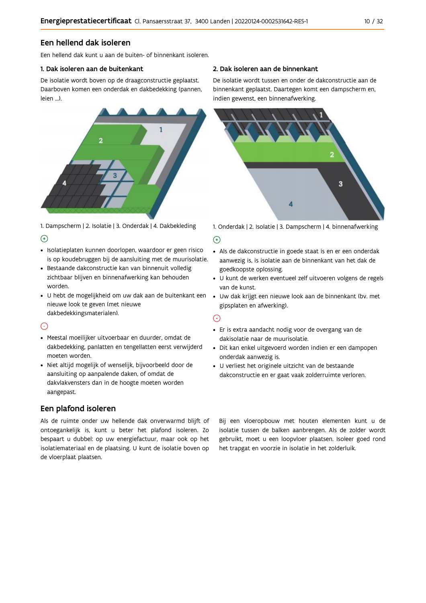## Een hellend dak isoleren

Een hellend dak kunt u aan de buiten- of binnenkant isoleren.

### 1. Dak isoleren aan de buitenkant

De isolatie wordt boven op de draagconstructie geplaatst. Daarboven komen een onderdak en dakbedekking (pannen, leien ...).



1. Dampscherm | 2. Isolatie | 3. Onderdak | 4. Dakbekleding  $\Theta$ 

- · Isolatieplaten kunnen doorlopen, waardoor er geen risico is op koudebruggen bij de aansluiting met de muurisolatie.
- · Bestaande dakconstructie kan van binnenuit volledig zichtbaar blijven en binnenafwerking kan behouden worden.
- · U hebt de mogelijkheid om uw dak aan de buitenkant een nieuwe look te geven (met nieuwe dakbedekkingsmaterialen).

## $\odot$

- · Meestal moeilijker uitvoerbaar en duurder, omdat de dakbedekking, panlatten en tengellatten eerst verwijderd moeten worden.
- · Niet altijd mogelijk of wenselijk, bijvoorbeeld door de aansluiting op aanpalende daken, of omdat de dakvlakvensters dan in de hoogte moeten worden aangepast.

## Een plafond isoleren

Als de ruimte onder uw hellende dak onverwarmd blijft of ontoegankelijk is, kunt u beter het plafond isoleren. Zo bespaart u dubbel: op uw energiefactuur, maar ook op het isolatiemateriaal en de plaatsing. U kunt de isolatie boven op de vloerplaat plaatsen.

### 2. Dak isoleren aan de binnenkant

De isolatie wordt tussen en onder de dakconstructie aan de binnenkant geplaatst. Daartegen komt een dampscherm en, indien gewenst, een binnenafwerking.



1. Onderdak | 2. Isolatie | 3. Dampscherm | 4. binnenafwerking

### $\bigoplus$

- Als de dakconstructie in goede staat is en er een onderdak aanwezig is, is isolatie aan de binnenkant van het dak de goedkoopste oplossing.
- · U kunt de werken eventueel zelf uitvoeren volgens de regels van de kunst.
- · Uw dak krijgt een nieuwe look aan de binnenkant (bv. met gipsplaten en afwerking).

## $\odot$

- · Er is extra aandacht nodig voor de overgang van de dakisolatie naar de muurisolatie.
- · Dit kan enkel uitgevoerd worden indien er een dampopen onderdak aanwezig is.
- · U verliest het originele uitzicht van de bestaande dakconstructie en er gaat vaak zolderruimte verloren.

Bij een vloeropbouw met houten elementen kunt u de isolatie tussen de balken aanbrengen. Als de zolder wordt gebruikt, moet u een loopvloer plaatsen. Isoleer goed rond het trapgat en voorzie in isolatie in het zolderluik.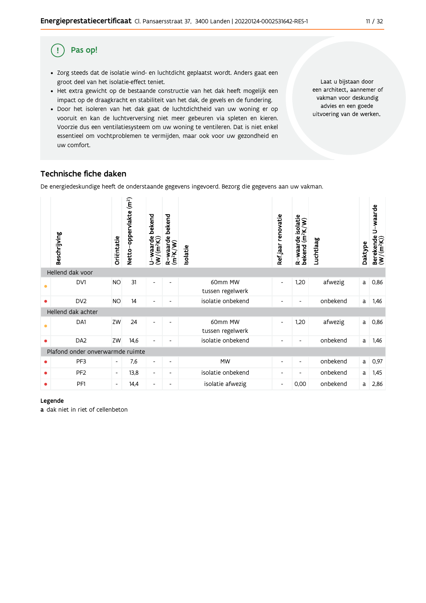#### Pas op! (!)

- · Zorg steeds dat de isolatie wind- en luchtdicht geplaatst wordt. Anders gaat een groot deel van het isolatie-effect teniet.
- · Het extra gewicht op de bestaande constructie van het dak heeft mogelijk een impact op de draagkracht en stabiliteit van het dak, de gevels en de fundering.
- · Door het isoleren van het dak gaat de luchtdichtheid van uw woning er op vooruit en kan de luchtverversing niet meer gebeuren via spleten en kieren. Voorzie dus een ventilatiesysteem om uw woning te ventileren. Dat is niet enkel essentieel om vochtproblemen te vermijden, maar ook voor uw gezondheid en uw comfort.

Laat u bijstaan door een architect, aannemer of vakman voor deskundig advies en een goede uitvoering van de werken.

## Technische fiche daken

De energiedeskundige heeft de onderstaande gegevens ingevoerd. Bezorg die gegevens aan uw vakman.

|                                  | Beschrijving       | Oriëntatie               | Netto-oppervlakte (m <sup>2</sup> ) | bekend<br>$U$ – waarde $W(m^2K))$ | bekend<br>R-waarde l<br>(m <sup>2</sup> K/W) | Isolatie                    | Refjaar renovatie        | R-waarde isolatie<br>bekend (m <sup>2</sup> K/W) | Luchtlaag | Daktype | U-waarde<br>Berekende l<br>(W/(m <sup>2</sup> K)) |
|----------------------------------|--------------------|--------------------------|-------------------------------------|-----------------------------------|----------------------------------------------|-----------------------------|--------------------------|--------------------------------------------------|-----------|---------|---------------------------------------------------|
|                                  | Hellend dak voor   |                          |                                     |                                   |                                              |                             |                          |                                                  |           |         |                                                   |
| $\bullet$                        | DV1                | <b>NO</b>                | 31                                  | $\overline{\phantom{a}}$          |                                              | 60mm MW<br>tussen regelwerk | $\overline{\phantom{a}}$ | 1,20                                             | afwezig   | a       | 0,86                                              |
| ۰                                | DV <sub>2</sub>    | <b>NO</b>                | 14                                  | $\overline{\phantom{a}}$          | $\overline{\phantom{a}}$                     | isolatie onbekend           | $\overline{\phantom{a}}$ | $\overline{\phantom{a}}$                         | onbekend  | a       | 1,46                                              |
|                                  | Hellend dak achter |                          |                                     |                                   |                                              |                             |                          |                                                  |           |         |                                                   |
| $\bullet$                        | DA1                | ZW                       | 24                                  | $\overline{\phantom{a}}$          | $\overline{a}$                               | 60mm MW<br>tussen regelwerk | $\overline{\phantom{a}}$ | 1,20                                             | afwezig   | a       | 0,86                                              |
| ٠                                | DA <sub>2</sub>    | ZW                       | 14,6                                | $\overline{\phantom{0}}$          | $\overline{\phantom{0}}$                     | isolatie onbekend           | $\overline{\phantom{a}}$ | $\overline{\phantom{a}}$                         | onbekend  | a       | 1,46                                              |
| Plafond onder onverwarmde ruimte |                    |                          |                                     |                                   |                                              |                             |                          |                                                  |           |         |                                                   |
| ٠                                | PF3                | $\overline{\phantom{a}}$ | 7,6                                 | $\overline{\phantom{a}}$          | $\overline{\phantom{a}}$                     | <b>MW</b>                   | $\overline{\phantom{a}}$ | $\overline{\phantom{a}}$                         | onbekend  | a       | 0,97                                              |
| ٠                                | PF <sub>2</sub>    | $\overline{\phantom{a}}$ | 13,8                                | $\overline{\phantom{a}}$          | $\overline{\phantom{a}}$                     | isolatie onbekend           | $\overline{\phantom{a}}$ | $\overline{\phantom{a}}$                         | onbekend  | a       | 1,45                                              |
|                                  | PF <sub>1</sub>    | $\overline{\phantom{a}}$ | 14,4                                | $\overline{\phantom{a}}$          | -                                            | isolatie afwezig            | $\overline{\phantom{a}}$ | 0,00                                             | onbekend  | a       | 2,86                                              |

#### Legende

a dak niet in riet of cellenbeton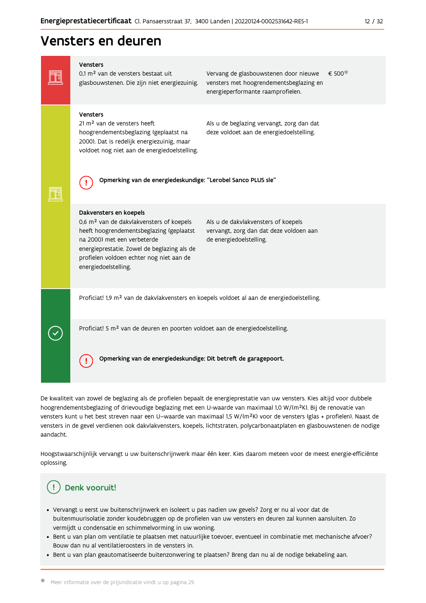## Vensters en deuren

## Vensters € 500 0,1 m<sup>2</sup> van de vensters bestaat uit Vervang de glasbouwstenen door nieuwe FFI glasbouwstenen. Die zijn niet energiezuinig. vensters met hoogrendementsbeglazing en energieperformante raamprofielen. Vensters 21 m<sup>2</sup> van de vensters heeft Als u de beglazing vervangt, zorg dan dat hoogrendementsbeglazing (geplaatst na deze voldoet aan de energiedoelstelling. 2000). Dat is redelijk energiezuinig, maar voldoet nog niet aan de energiedoelstelling. Opmerking van de energiedeskundige: "Lerobel Sanco PLUS sle" ₫. FF Dakvensters en koepels 0,6 m<sup>2</sup> van de dakvlakvensters of koepels Als u de dakvlakvensters of koepels heeft hoogrendementsbeglazing (geplaatst vervangt, zorg dan dat deze voldoen aan na 2000) met een verbeterde de energiedoelstelling. energieprestatie. Zowel de beglazing als de profielen voldoen echter nog niet aan de energiedoelstelling. Proficiat! 1,9 m<sup>2</sup> van de dakvlakvensters en koepels voldoet al aan de energiedoelstelling. Proficiat! 5 m<sup>2</sup> van de deuren en poorten voldoet aan de energiedoelstelling. Opmerking van de energiedeskundige: Dit betreft de garagepoort. Ţ

De kwaliteit van zowel de beglazing als de profielen bepaalt de energieprestatie van uw vensters. Kies altijd voor dubbele hoogrendementsbeglazing of drievoudige beglazing met een U-waarde van maximaal 1,0 W/(m<sup>2</sup>K). Bij de renovatie van vensters kunt u het best streven naar een U-waarde van maximaal 1,5 W/(m<sup>2</sup>K) voor de vensters (glas + profielen). Naast de vensters in de gevel verdienen ook dakvlakvensters, koepels, lichtstraten, polycarbonaatplaten en glasbouwstenen de nodige aandacht.

Hoogstwaarschijnlijk vervangt u uw buitenschrijnwerk maar één keer. Kies daarom meteen voor de meest energie-efficiënte oplossing.

## Denk vooruit!

- · Vervangt u eerst uw buitenschrijnwerk en isoleert u pas nadien uw gevels? Zorg er nu al voor dat de buitenmuurisolatie zonder koudebruggen op de profielen van uw vensters en deuren zal kunnen aansluiten. Zo vermijdt u condensatie en schimmelvorming in uw woning.
- Bent u van plan om ventilatie te plaatsen met natuurlijke toevoer, eventueel in combinatie met mechanische afvoer? Bouw dan nu al ventilatieroosters in de vensters in.
- · Bent u van plan geautomatiseerde buitenzonwering te plaatsen? Breng dan nu al de nodige bekabeling aan.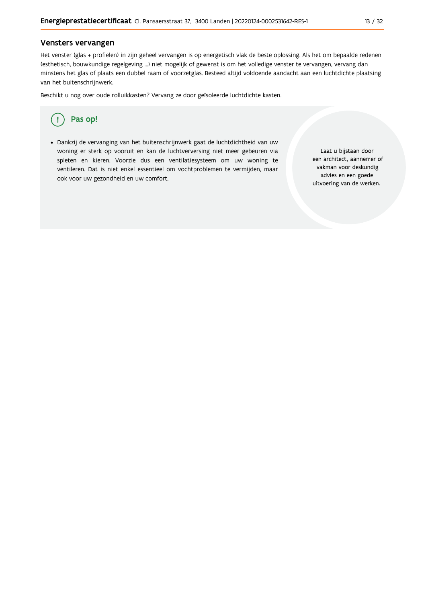### Vensters vervangen

Het venster (glas + profielen) in zijn geheel vervangen is op energetisch vlak de beste oplossing. Als het om bepaalde redenen (esthetisch, bouwkundige regelgeving ...) niet mogelijk of gewenst is om het volledige venster te vervangen, vervang dan minstens het glas of plaats een dubbel raam of voorzetglas. Besteed altijd voldoende aandacht aan een luchtdichte plaatsing van het buitenschrijnwerk.

Beschikt u nog over oude rolluikkasten? Vervang ze door geïsoleerde luchtdichte kasten.



· Dankzij de vervanging van het buitenschrijnwerk gaat de luchtdichtheid van uw woning er sterk op vooruit en kan de luchtverversing niet meer gebeuren via spleten en kieren. Voorzie dus een ventilatiesysteem om uw woning te ventileren. Dat is niet enkel essentieel om vochtproblemen te vermijden, maar ook voor uw gezondheid en uw comfort.

Laat u bijstaan door een architect, aannemer of vakman voor deskundig advies en een goede uitvoering van de werken.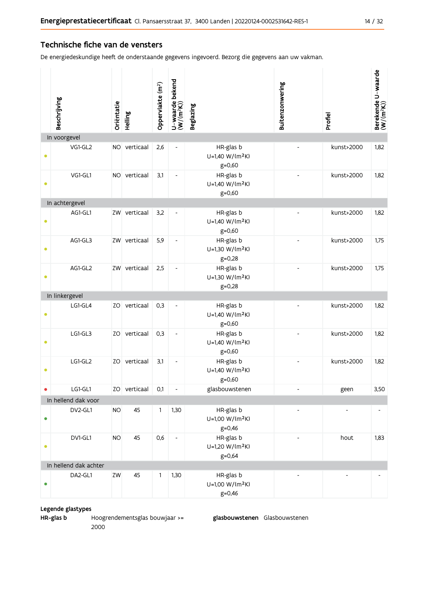### Technische fiche van de vensters

De energiedeskundige heeft de onderstaande gegevens ingevoerd. Bezorg die gegevens aan uw vakman.

|           | Beschrijving          | Oriëntatie | Helling      | Oppervlakte (m <sup>2</sup> ) | U-waarde bekend<br>(W/(m <sup>2</sup> K)) | <b>Beglazing</b>                                       | Buitenzonwering          | Profiel                  | Berekende U-waarde<br>(W/(m <sup>2</sup> K)) |
|-----------|-----------------------|------------|--------------|-------------------------------|-------------------------------------------|--------------------------------------------------------|--------------------------|--------------------------|----------------------------------------------|
|           | In voorgevel          |            |              |                               |                                           |                                                        |                          |                          |                                              |
| ٠         | VG1-GL2               |            | NO verticaal | 2,6                           | $\overline{a}$                            | HR-glas b<br>U=1,40 W/(m <sup>2</sup> K)<br>$g = 0,60$ |                          | kunst>2000               | 1,82                                         |
| $\bullet$ | VG1-GL1               |            | NO verticaal | 3,1                           | $\overline{\phantom{a}}$                  | HR-glas b<br>U=1,40 W/(m <sup>2</sup> K)<br>$g = 0,60$ |                          | kunst>2000               | 1,82                                         |
|           | In achtergevel        |            |              |                               |                                           |                                                        |                          |                          |                                              |
|           | AG1-GL1               |            | ZW verticaal | 3,2                           | $\overline{\phantom{a}}$                  | HR-glas b<br>U=1,40 W/(m <sup>2</sup> K)<br>$g = 0,60$ |                          | kunst>2000               | 1,82                                         |
| ۰         | AG1-GL3               |            | ZW verticaal | 5,9                           | $\overline{a}$                            | HR-glas b<br>U=1,30 W/(m <sup>2</sup> K)<br>$g = 0,28$ |                          | kunst>2000               | 1,75                                         |
| $\bullet$ | AG1-GL2               |            | ZW verticaal | 2,5                           | $\overline{\phantom{a}}$                  | HR-glas b<br>U=1,30 W/(m <sup>2</sup> K)<br>$g = 0,28$ |                          | kunst>2000               | 1,75                                         |
|           | In linkergevel        |            |              |                               |                                           |                                                        |                          |                          |                                              |
|           | LG1-GL4               |            | ZO verticaal | 0,3                           | $\overline{\phantom{a}}$                  | HR-glas b<br>U=1,40 W/(m <sup>2</sup> K)<br>$g = 0,60$ |                          | kunst>2000               | 1,82                                         |
| $\bullet$ | LG1-GL3               |            | ZO verticaal | 0,3                           | $\overline{\phantom{a}}$                  | HR-glas b<br>U=1,40 W/(m <sup>2</sup> K)<br>$g = 0,60$ | $\overline{\phantom{a}}$ | kunst>2000               | 1,82                                         |
| $\bullet$ | LG1-GL2               |            | ZO verticaal | 3,1                           | $\overline{\phantom{a}}$                  | HR-glas b<br>U=1,40 W/(m <sup>2</sup> K)<br>$g = 0,60$ |                          | kunst>2000               | 1,82                                         |
| ۰         | LG1-GL1               |            | ZO verticaal | $0,1$                         | $\overline{\phantom{a}}$                  | glasbouwstenen                                         | $\overline{\phantom{a}}$ | geen                     | 3,50                                         |
|           | In hellend dak voor   |            |              |                               |                                           |                                                        |                          |                          |                                              |
| $\bullet$ | DV2-GL1               | <b>NO</b>  | 45           | 1                             | 1,30                                      | HR-glas b<br>U=1,00 W/(m <sup>2</sup> K)<br>$g = 0,46$ | $\overline{a}$           | $\overline{a}$           |                                              |
| $\bullet$ | DV1-GL1               | <b>NO</b>  | 45           | 0,6                           | $\overline{\phantom{a}}$                  | HR-glas b<br>U=1,20 W/(m <sup>2</sup> K)<br>g=0,64     | $\overline{a}$           | hout                     | 1,83                                         |
|           | In hellend dak achter |            |              |                               |                                           |                                                        |                          |                          |                                              |
| $\bullet$ | DA2-GL1               | ZW         | 45           | 1                             | 1,30                                      | HR-glas b<br>U=1,00 W/(m <sup>2</sup> K)<br>$g=0,46$   | $\overline{\phantom{m}}$ | $\overline{\phantom{a}}$ |                                              |

### Legende glastypes

HR-glas b Hoogrendementsglas bouwjaar >= 2000

glasbouwstenen Glasbouwstenen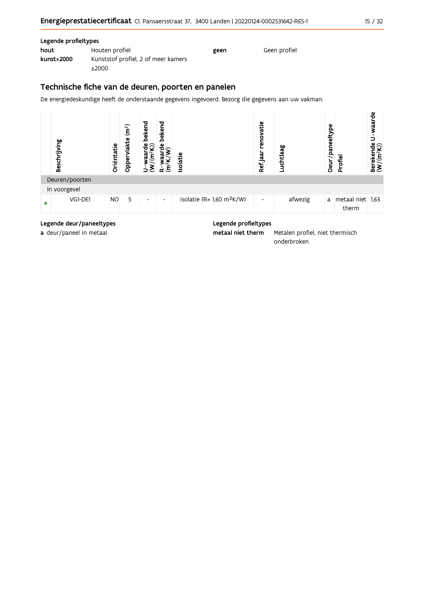| M.<br>۰. | v<br>× |
|----------|--------|
|----------|--------|

### Legende profieltypes

| hout       | Houten profiel                      | geen | Geen profiel |
|------------|-------------------------------------|------|--------------|
| kunst>2000 | Kunststof profiel, 2 of meer kamers |      |              |
|            | ≥2000                               |      |              |

## Technische fiche van de deuren, poorten en panelen

De energiedeskundige heeft de onderstaande gegevens ingevoerd. Bezorg die gegevens aan uw vakman.



Legende deur/paneeltypes

a deur/paneel in metaal

Legende profieltypes

Metalen profiel, niet thermisch metaal niet therm onderbroken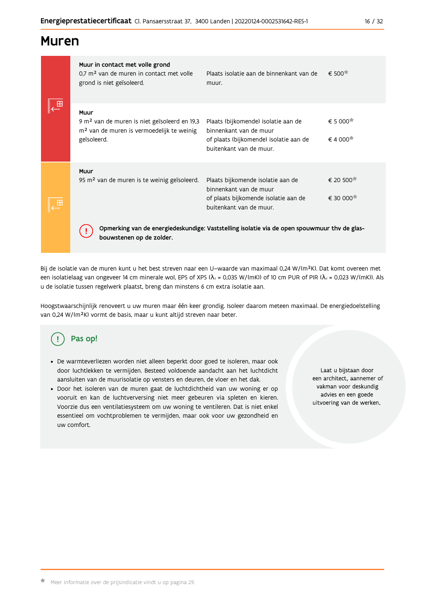## **Muren**

|  | Muur in contact met volle grond<br>0.7 m <sup>2</sup> van de muren in contact met volle<br>grond is niet geïsoleerd.                     | Plaats isolatie aan de binnenkant van de<br>muur.                                                                                  | $\epsilon$ 500 $\pi$                                                     |  |  |  |
|--|------------------------------------------------------------------------------------------------------------------------------------------|------------------------------------------------------------------------------------------------------------------------------------|--------------------------------------------------------------------------|--|--|--|
|  | Muur<br>9 m <sup>2</sup> van de muren is niet geïsoleerd en 19,3<br>m <sup>2</sup> van de muren is vermoedelijk te weinig<br>geïsoleerd. | Plaats (bijkomende) isolatie aan de<br>binnenkant van de muur<br>of plaats (bijkomende) isolatie aan de<br>buitenkant van de muur. | $\epsilon$ 5 000 <sup><math>\star</math></sup><br>$\epsilon$ 4 000 $\pi$ |  |  |  |
|  | Muur<br>95 m <sup>2</sup> van de muren is te weinig geïsoleerd.                                                                          | Plaats bijkomende isolatie aan de<br>binnenkant van de muur<br>of plaats bijkomende isolatie aan de<br>buitenkant van de muur.     | € 20 500 <sup>★</sup><br>€ 30 000 <sup>★</sup>                           |  |  |  |
|  | Opmerking van de energiedeskundige: Vaststelling isolatie via de open spouwmuur thv de glas-<br>bouwstenen op de zolder.                 |                                                                                                                                    |                                                                          |  |  |  |

Bij de isolatie van de muren kunt u het best streven naar een U-waarde van maximaal 0,24 W/(m<sup>2</sup>K). Dat komt overeen met een isolatielaag van ongeveer 14 cm minerale wol, EPS of XPS ( $\lambda_a$  = 0,035 W/(mK)) of 10 cm PUR of PIR ( $\lambda_a$  = 0,023 W/(mK)). Als u de isolatie tussen regelwerk plaatst, breng dan minstens 6 cm extra isolatie aan.

Hoogstwaarschijnlijk renoveert u uw muren maar één keer grondig. Isoleer daarom meteen maximaal. De energiedoelstelling van 0,24 W/(m<sup>2</sup>K) vormt de basis, maar u kunt altijd streven naar beter.

# Pas op!

- · De warmteverliezen worden niet alleen beperkt door goed te isoleren, maar ook door luchtlekken te vermijden. Besteed voldoende aandacht aan het luchtdicht aansluiten van de muurisolatie op vensters en deuren, de vloer en het dak.
- · Door het isoleren van de muren gaat de luchtdichtheid van uw woning er op vooruit en kan de luchtverversing niet meer gebeuren via spleten en kieren. Voorzie dus een ventilatiesysteem om uw woning te ventileren. Dat is niet enkel essentieel om vochtproblemen te vermijden, maar ook voor uw gezondheid en uw comfort.

Laat u bijstaan door een architect, aannemer of vakman voor deskundig advies en een goede uitvoering van de werken.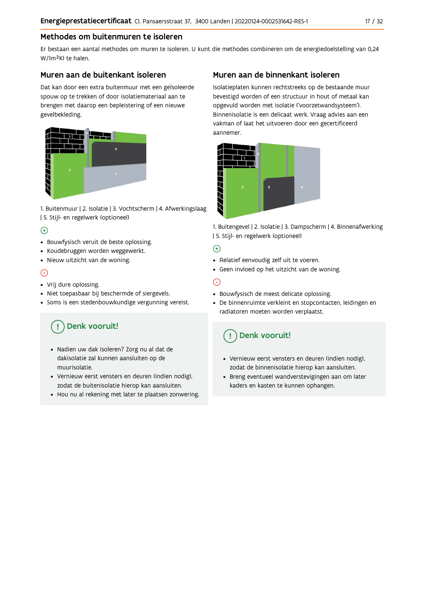## Methodes om buitenmuren te isoleren

Er bestaan een aantal methodes om muren te isoleren. U kunt die methodes combineren om de energiedoelstelling van 0,24 W/(m<sup>2</sup>K) te halen.

## Muren aan de buitenkant isoleren

Dat kan door een extra buitenmuur met een geïsoleerde spouw op te trekken of door isolatiemateriaal aan te brengen met daarop een bepleistering of een nieuwe gevelbekleding.



1. Buitenmuur | 2. Isolatie | 3. Vochtscherm | 4. Afwerkingslaag | 5. Stijl- en regelwerk (optioneel)

## $\bigoplus$

- Bouwfysisch veruit de beste oplossing.
- Koudebruggen worden weggewerkt.
- · Nieuw uitzicht van de woning.

## $\odot$

### • Vrij dure oplossing.

- · Niet toepasbaar bij beschermde of siergevels.
- Soms is een stedenbouwkundige vergunning vereist.

## Denk vooruit!

- · Nadien uw dak isoleren? Zorg nu al dat de dakisolatie zal kunnen aansluiten op de muurisolatie.
- · Vernieuw eerst vensters en deuren (indien nodig), zodat de buitenisolatie hierop kan aansluiten.
- Hou nu al rekening met later te plaatsen zonwering.

## Muren aan de binnenkant isoleren

Isolatieplaten kunnen rechtstreeks op de bestaande muur bevestigd worden of een structuur in hout of metaal kan opgevuld worden met isolatie ('voorzetwandsysteem'). Binnenisolatie is een delicaat werk. Vraag advies aan een vakman of laat het uitvoeren door een gecertificeerd aannemer



1. Buitengevel | 2. Isolatie | 3. Dampscherm | 4. Binnenafwerking | 5. Stijl- en regelwerk (optioneel)

## $\bigoplus$

- Relatief eenvoudig zelf uit te voeren.
- Geen invloed op het uitzicht van de woning.

## ⊝

- Bouwfysisch de meest delicate oplossing.
- · De binnenruimte verkleint en stopcontacten, leidingen en radiatoren moeten worden verplaatst.

## Denk vooruit!

- Vernieuw eerst vensters en deuren (indien nodig), zodat de binnenisolatie hierop kan aansluiten.
- · Breng eventueel wandverstevigingen aan om later kaders en kasten te kunnen ophangen.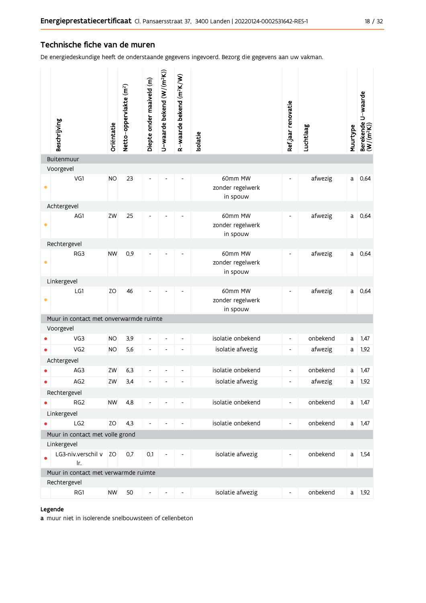## Technische fiche van de muren

De energiedeskundige heeft de onderstaande gegevens ingevoerd. Bezorg die gegevens aan uw vakman.

|                                                | Beschrijving                                | Oriëntatie | Netto-oppervlakte (m <sup>2</sup> ) | Diepte onder maaiveld (m) | U-waarde bekend $(W/(m^2K))$ | R-waarde bekend (m <sup>2</sup> K/W) | solatie                                 | Ref jaar renovatie       | Luchtlaag | Muurtype | Berekende U-waarde<br>(W/(m <sup>2</sup> K)) |
|------------------------------------------------|---------------------------------------------|------------|-------------------------------------|---------------------------|------------------------------|--------------------------------------|-----------------------------------------|--------------------------|-----------|----------|----------------------------------------------|
|                                                | Buitenmuur                                  |            |                                     |                           |                              |                                      |                                         |                          |           |          |                                              |
|                                                | Voorgevel                                   |            |                                     |                           |                              |                                      |                                         |                          |           |          |                                              |
| $\bullet$                                      | VG1                                         | <b>NO</b>  | 23                                  |                           |                              |                                      | 60mm MW<br>zonder regelwerk<br>in spouw | $\overline{\phantom{a}}$ | afwezig   | a        | 0,64                                         |
|                                                | Achtergevel                                 |            |                                     |                           |                              |                                      |                                         |                          |           |          |                                              |
| $\bullet$                                      | AG1                                         | ZW         | 25                                  |                           |                              |                                      | 60mm MW<br>zonder regelwerk<br>in spouw | $\overline{\phantom{a}}$ | afwezig   | a        | 0,64                                         |
|                                                | Rechtergevel                                |            |                                     |                           |                              |                                      |                                         |                          |           |          |                                              |
| ٠                                              | RG3                                         | <b>NW</b>  | 0,9                                 |                           |                              |                                      | 60mm MW<br>zonder regelwerk<br>in spouw |                          | afwezig   | a        | 0,64                                         |
|                                                | Linkergevel                                 |            |                                     |                           |                              |                                      |                                         |                          |           |          |                                              |
| $\bullet$                                      | LG1                                         | ZO         | 46                                  |                           |                              |                                      | 60mm MW<br>zonder regelwerk<br>in spouw |                          | afwezig   | a        | 0,64                                         |
|                                                | Muur in contact met onverwarmde ruimte      |            |                                     |                           |                              |                                      |                                         |                          |           |          |                                              |
|                                                | Voorgevel                                   |            |                                     |                           |                              |                                      |                                         |                          |           |          |                                              |
|                                                | VG3                                         | <b>NO</b>  | 3,9                                 | $\overline{a}$            |                              |                                      | isolatie onbekend                       | $\overline{\phantom{a}}$ | onbekend  | a        | 1,47                                         |
|                                                | VG <sub>2</sub>                             | <b>NO</b>  | 5,6                                 | $\overline{a}$            |                              | $\qquad \qquad \blacksquare$         | isolatie afwezig                        | $\overline{\phantom{a}}$ | afwezig   | а        | 1,92                                         |
|                                                | Achtergevel                                 |            |                                     |                           |                              |                                      |                                         |                          |           |          |                                              |
|                                                | AG3                                         | ZW         | 6,3                                 | $\overline{\phantom{0}}$  | $\overline{a}$               | $\overline{\phantom{a}}$             | isolatie onbekend                       | $\overline{\phantom{a}}$ | onbekend  | a        | 1,47                                         |
|                                                | AG <sub>2</sub>                             | ZW         | 3,4                                 | L,                        |                              |                                      | isolatie afwezig                        | $\overline{\phantom{a}}$ | afwezig   | a        | 1,92                                         |
|                                                | Rechtergevel                                |            |                                     |                           |                              |                                      |                                         |                          |           |          |                                              |
|                                                | RG <sub>2</sub>                             | <b>NW</b>  | 4,8                                 |                           |                              |                                      | isolatie onbekend                       | ٠                        | onbekend  | a        | 1,47                                         |
|                                                | Linkergevel                                 |            |                                     |                           |                              |                                      |                                         |                          |           |          |                                              |
| $\bullet$                                      | LG <sub>2</sub>                             | ZO         | 4,3                                 |                           |                              |                                      | isolatie onbekend                       | $\overline{\phantom{a}}$ | onbekend  | a        | 1,47                                         |
| Muur in contact met volle grond<br>Linkergevel |                                             |            |                                     |                           |                              |                                      |                                         |                          |           |          |                                              |
|                                                | LG3-niv.verschil v ZO                       |            | 0,7                                 | 0,1                       | L,                           |                                      | isolatie afwezig                        | $\overline{\phantom{a}}$ | onbekend  | a        | 1,54                                         |
|                                                | Ir.<br>Muur in contact met verwarmde ruimte |            |                                     |                           |                              |                                      |                                         |                          |           |          |                                              |
|                                                | Rechtergevel                                |            |                                     |                           |                              |                                      |                                         |                          |           |          |                                              |
|                                                | RG1                                         | <b>NW</b>  | 50                                  | $\overline{\phantom{a}}$  |                              |                                      | isolatie afwezig                        | $\overline{\phantom{a}}$ | onbekend  | a        | 1,92                                         |

### Legende

a muur niet in isolerende snelbouwsteen of cellenbeton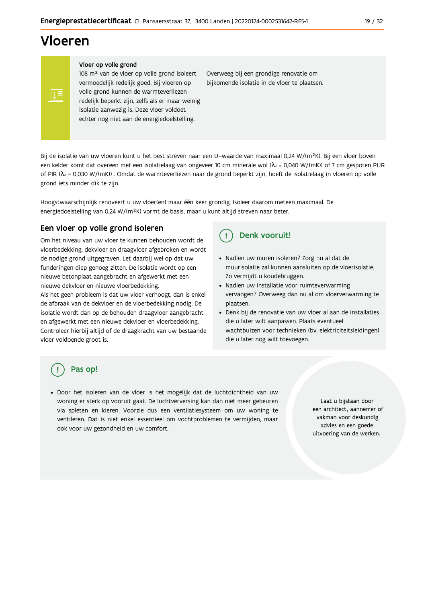## Vloeren

#### Vloer op volle grond

108 m<sup>2</sup> van de vloer op volle grond isoleert vermoedelijk redelijk goed. Bij vloeren op volle grond kunnen de warmteverliezen redelijk beperkt zijn, zelfs als er maar weinig isolatie aanwezig is. Deze vloer voldoet echter nog niet aan de energiedoelstelling.

Overweeg bij een grondige renovatie om bijkomende isolatie in de vloer te plaatsen.

Bij de isolatie van uw vloeren kunt u het best streven naar een U-waarde van maximaal 0,24 W/(m<sup>2</sup>K). Bij een vloer boven een kelder komt dat overeen met een isolatielaag van ongeveer 10 cm minerale wol ( $\lambda_d$  = 0,040 W/(mK)) of 7 cm gespoten PUR of PIR ( $\lambda_4$  = 0,030 W/(mK)). Omdat de warmteverliezen naar de grond beperkt zijn, hoeft de isolatielaag in vloeren op volle grond iets minder dik te zijn.

Hoogstwaarschijnlijk renoveert u uw vloer(en) maar één keer grondig. Isoleer daarom meteen maximaal. De energiedoelstelling van 0,24 W/(m<sup>2</sup>K) vormt de basis, maar u kunt altijd streven naar beter.

## Een vloer op volle grond isoleren

Om het niveau van uw vloer te kunnen behouden wordt de vloerbedekking, dekvloer en draagvloer afgebroken en wordt de nodige grond uitgegraven. Let daarbij wel op dat uw funderingen diep genoeg zitten. De isolatie wordt op een nieuwe betonplaat aangebracht en afgewerkt met een nieuwe dekvloer en nieuwe vloerbedekking.

Als het geen probleem is dat uw vloer verhoogt, dan is enkel de afbraak van de dekvloer en de vloerbedekking nodig. De isolatie wordt dan op de behouden draagvloer aangebracht en afgewerkt met een nieuwe dekvloer en vloerbedekking. Controleer hierbij altijd of de draagkracht van uw bestaande vloer voldoende groot is.

#### Denk vooruit!  $\left( \begin{array}{c} 1 \end{array} \right)$

- · Nadien uw muren isoleren? Zorg nu al dat de muurisolatie zal kunnen aansluiten op de vloerisolatie. Zo vermijdt u koudebruggen.
- Nadien uw installatie voor ruimteverwarming vervangen? Overweeg dan nu al om vloerverwarming te plaatsen.
- Denk bij de renovatie van uw vloer al aan de installaties die u later wilt aanpassen. Plaats eventueel wachtbuizen voor technieken (bv. elektriciteitsleidingen) die u later nog wilt toevoegen.

## Pas op!

· Door het isoleren van de vloer is het mogelijk dat de luchtdichtheid van uw woning er sterk op vooruit gaat. De luchtverversing kan dan niet meer gebeuren via spleten en kieren. Voorzie dus een ventilatiesysteem om uw woning te ventileren. Dat is niet enkel essentieel om vochtproblemen te vermijden, maar ook voor uw gezondheid en uw comfort.

Laat u bijstaan door een architect, aannemer of vakman voor deskundig advies en een goede uitvoering van de werken.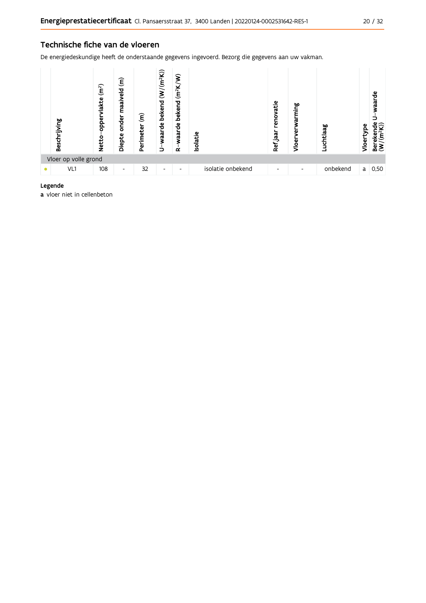## Technische fiche van de vloeren

De energiedeskundige heeft de onderstaande gegevens ingevoerd. Bezorg die gegevens aan uw vakman.



### Legende

a vloer niet in cellenbeton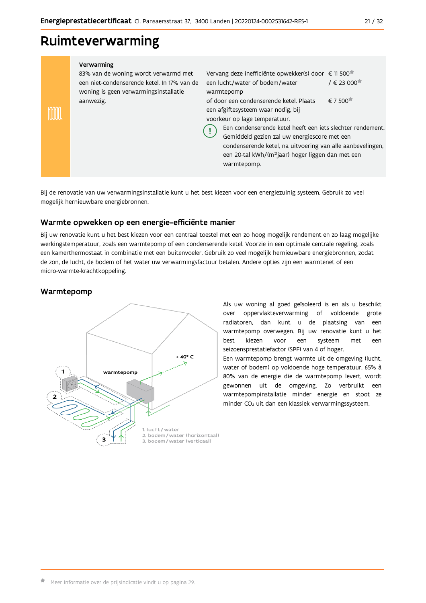### $21/32$

## Ruimteverwarming

| Verwarming |
|------------|
|------------|

83% van de woning wordt verwarmd met een niet-condenserende ketel. In 17% van de woning is geen verwarmingsinstallatie aanwezig.

Vervang deze inefficiënte opwekker(s) door € 11 500<sup>\*</sup> / € 23 000<sup>★</sup> een lucht/water of bodem/water warmtepomp € 7 500<sup>★</sup> of door een condenserende ketel. Plaats een afgiftesysteem waar nodig, bij voorkeur op lage temperatuur. Een condenserende ketel heeft een iets slechter rendement. Ţ

Gemiddeld gezien zal uw energiescore met een condenserende ketel, na uitvoering van alle aanbevelingen, een 20-tal kWh/(m<sup>2</sup>jaar) hoger liggen dan met een warmtepomp.

Bij de renovatie van uw verwarmingsinstallatie kunt u het best kiezen voor een energiezuinig systeem. Gebruik zo veel mogelijk hernieuwbare energiebronnen.

## Warmte opwekken op een energie-efficiënte manier

Bij uw renovatie kunt u het best kiezen voor een centraal toestel met een zo hoog mogelijk rendement en zo laag mogelijke werkingstemperatuur, zoals een warmtepomp of een condenserende ketel. Voorzie in een optimale centrale regeling, zoals een kamerthermostaat in combinatie met een buitenvoeler. Gebruik zo veel mogelijk hernieuwbare energiebronnen, zodat de zon, de lucht, de bodem of het water uw verwarmingsfactuur betalen. Andere opties zijn een warmtenet of een micro-warmte-krachtkoppeling.

## Warmtepomp

m



Als uw woning al goed geïsoleerd is en als u beschikt over oppervlakteverwarming of voldoende grote radiatoren, dan kunt u de plaatsing van een warmtepomp overwegen. Bij uw renovatie kunt u het hest kiezen voor een systeem met een seizoensprestatiefactor (SPF) van 4 of hoger. Een warmtepomp brengt warmte uit de omgeving (lucht, water of bodem) op voldoende hoge temperatuur. 65% à 80% van de energie die de warmtepomp levert, wordt gewonnen uit de omgeving. Zo verbruikt een warmtepompinstallatie minder energie en stoot ze minder CO<sub>2</sub> uit dan een klassiek verwarmingssysteem.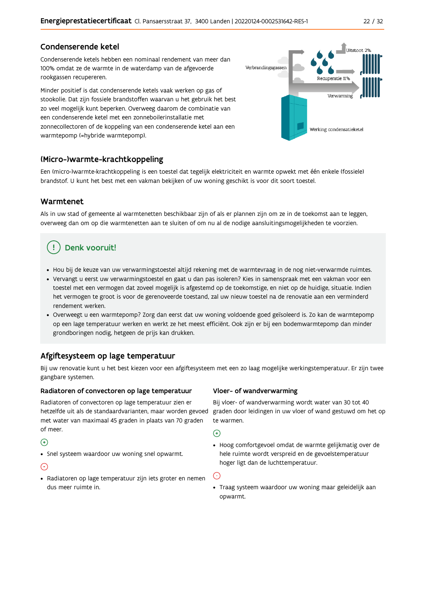## Condenserende ketel

Condenserende ketels hebben een nominaal rendement van meer dan 100% omdat ze de warmte in de waterdamp van de afgevoerde rookgassen recupereren.

Minder positief is dat condenserende ketels vaak werken op gas of stookolie. Dat zijn fossiele brandstoffen waarvan u het gebruik het best zo veel mogelijk kunt beperken. Overweeg daarom de combinatie van een condenserende ketel met een zonneboilerinstallatie met zonnecollectoren of de koppeling van een condenserende ketel aan een warmtepomp (=hybride warmtepomp).



## (Micro-)warmte-krachtkoppeling

Een (micro-)warmte-krachtkoppeling is een toestel dat tegelijk elektriciteit en warmte opwekt met één enkele (fossiele) brandstof. U kunt het best met een vakman bekijken of uw woning geschikt is voor dit soort toestel.

## Warmtenet

Als in uw stad of gemeente al warmtenetten beschikbaar zijn of als er plannen zijn om ze in de toekomst aan te leggen, overweeg dan om op die warmtenetten aan te sluiten of om nu al de nodige aansluitingsmogelijkheden te voorzien.

## Denk vooruit!

- · Hou bij de keuze van uw verwarmingstoestel altijd rekening met de warmtevraag in de nog niet-verwarmde ruimtes.
- Vervangt u eerst uw verwarmingstoestel en gaat u dan pas isoleren? Kies in samenspraak met een vakman voor een toestel met een vermogen dat zoveel mogelijk is afgestemd op de toekomstige, en niet op de huidige, situatie. Indien het vermogen te groot is voor de gerenoveerde toestand, zal uw nieuw toestel na de renovatie aan een verminderd rendement werken.
- · Overweegt u een warmtepomp? Zorg dan eerst dat uw woning voldoende goed geïsoleerd is. Zo kan de warmtepomp op een lage temperatuur werken en werkt ze het meest efficiënt. Ook zijn er bij een bodemwarmtepomp dan minder grondboringen nodig, hetgeen de prijs kan drukken.

## Afgiftesysteem op lage temperatuur

Bij uw renovatie kunt u het best kiezen voor een afgiftesysteem met een zo laag mogelijke werkingstemperatuur. Er zijn twee gangbare systemen.

### Radiatoren of convectoren op lage temperatuur

Radiatoren of convectoren op lage temperatuur zien er hetzelfde uit als de standaardvarianten, maar worden gevoed met water van maximaal 45 graden in plaats van 70 graden of meer.

## $\bigoplus$

• Snel systeem waardoor uw woning snel opwarmt.

## $\bigodot$

· Radiatoren op lage temperatuur zijn iets groter en nemen dus meer ruimte in.

### Vloer- of wandverwarming

Bij vloer- of wandverwarming wordt water van 30 tot 40 graden door leidingen in uw vloer of wand gestuwd om het op te warmen.

 $\bigodot$ 

• Hoog comfortgevoel omdat de warmte gelijkmatig over de hele ruimte wordt verspreid en de gevoelstemperatuur hoger ligt dan de luchttemperatuur.

 $\bigodot$ 

· Traag systeem waardoor uw woning maar geleidelijk aan opwarmt.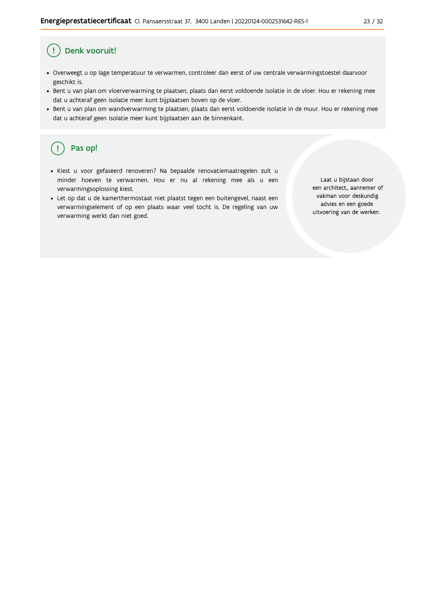#### Ţ Denk vooruit!

- · Overweegt u op lage temperatuur te verwarmen, controleer dan eerst of uw centrale verwarmingstoestel daarvoor geschikt is.
- · Bent u van plan om vloerverwarming te plaatsen, plaats dan eerst voldoende isolatie in de vloer. Hou er rekening mee dat u achteraf geen isolatie meer kunt bijplaatsen boven op de vloer.
- · Bent u van plan om wandverwarming te plaatsen, plaats dan eerst voldoende isolatie in de muur. Hou er rekening mee dat u achteraf geen isolatie meer kunt bijplaatsen aan de binnenkant.

#### ้ <u>เ</u> Pas op!

- · Kiest u voor gefaseerd renoveren? Na bepaalde renovatiemaatregelen zult u minder hoeven te verwarmen. Hou er nu al rekening mee als u een verwarmingsoplossing kiest.
- · Let op dat u de kamerthermostaat niet plaatst tegen een buitengevel, naast een verwarmingselement of op een plaats waar veel tocht is. De regeling van uw verwarming werkt dan niet goed.

Laat u bijstaan door een architect, aannemer of vakman voor deskundig advies en een goede uitvoering van de werken.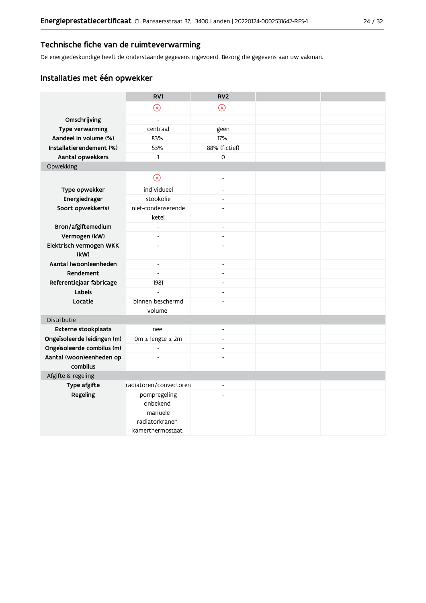## Technische fiche van de ruimteverwarming

De energiedeskundige heeft de onderstaande gegevens ingevoerd. Bezorg die gegevens aan uw vakman.

## Installaties met één opwekker

|                                      | RV1                                 | RV <sub>2</sub>              |  |
|--------------------------------------|-------------------------------------|------------------------------|--|
|                                      | $\circledR$                         | $\circledR$                  |  |
| Omschrijving                         | $\overline{\phantom{a}}$            | $\overline{a}$               |  |
| Type verwarming                      | centraal                            | geen                         |  |
| Aandeel in volume (%)                | 83%                                 | 17%                          |  |
| Installatierendement (%)             | 53%                                 | 88% (fictief)                |  |
| Aantal opwekkers                     | $\mathbf{1}$                        | $\mathsf{O}\xspace$          |  |
| Opwekking                            |                                     |                              |  |
|                                      | $\odot$                             | L,                           |  |
| Type opwekker                        | individueel                         | $\qquad \qquad \blacksquare$ |  |
| Energiedrager                        | stookolie                           | $\overline{a}$               |  |
| Soort opwekker(s)                    | niet-condenserende<br>ketel         | $\overline{a}$               |  |
| Bron/afgiftemedium                   | $\overline{\phantom{a}}$            | $\overline{\phantom{a}}$     |  |
| Vermogen (kW)                        | $\blacksquare$                      | $\overline{a}$               |  |
| Elektrisch vermogen WKK<br>(kW)      | $\overline{a}$                      | $\overline{a}$               |  |
| Aantal (woon)eenheden                | $\blacksquare$                      | $\blacksquare$               |  |
| Rendement                            | $\blacksquare$                      | $\overline{a}$               |  |
| Referentiejaar fabricage             | 1981                                | $\overline{a}$               |  |
| Labels                               | $\overline{a}$                      | $\overline{a}$               |  |
| Locatie                              | binnen beschermd                    |                              |  |
|                                      | volume                              |                              |  |
| Distributie                          |                                     |                              |  |
| <b>Externe stookplaats</b>           | nee                                 | L,                           |  |
| Ongeïsoleerde leidingen (m)          | 0m ≤ lengte ≤ 2m                    | $\overline{a}$               |  |
| Ongeïsoleerde combilus (m)           | $\overline{a}$                      | $\overline{\phantom{a}}$     |  |
| Aantal (woon)eenheden op<br>combilus |                                     |                              |  |
| Afgifte & regeling                   |                                     |                              |  |
| Type afgifte                         | radiatoren/convectoren              | L,                           |  |
| Regeling                             | pompregeling<br>onbekend<br>manuele | ÷                            |  |
|                                      | radiatorkranen<br>kamerthermostaat  |                              |  |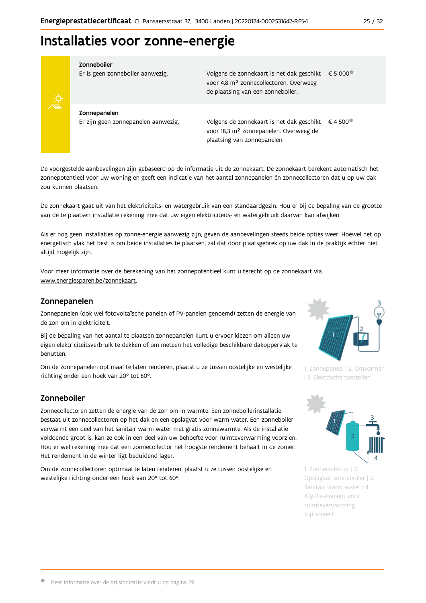## Installaties voor zonne-energie



#### Zonneboiler

Er is geen zonneboiler aanwezig.

Volgens de zonnekaart is het dak geschikt € 5 000 voor 4,8 m<sup>2</sup> zonnecollectoren. Overweeg de plaatsing van een zonneboiler.

Zonnepanelen Er zijn geen zonnepanelen aanwezig.

Volgens de zonnekaart is het dak geschikt  $\epsilon$  4 500<sup> $\star$ </sup> voor 18,3 m<sup>2</sup> zonnepanelen. Overweeg de plaatsing van zonnepanelen.

De voorgestelde aanbevelingen zijn gebaseerd op de informatie uit de zonnekaart. De zonnekaart berekent automatisch het zonnepotentieel voor uw woning en geeft een indicatie van het aantal zonnepanelen én zonnecollectoren dat u op uw dak zou kunnen plaatsen.

De zonnekaart gaat uit van het elektriciteits- en watergebruik van een standaardgezin. Hou er bij de bepaling van de grootte van de te plaatsen installatie rekening mee dat uw eigen elektriciteits- en watergebruik daarvan kan afwijken.

Als er nog geen installaties op zonne-energie aanwezig zijn, geven de aanbevelingen steeds beide opties weer. Hoewel het op energetisch vlak het best is om beide installaties te plaatsen, zal dat door plaatsgebrek op uw dak in de praktijk echter niet altijd mogelijk zijn.

Voor meer informatie over de berekening van het zonnepotentieel kunt u terecht op de zonnekaart via www.energiesparen.be/zonnekaart.

## Zonnepanelen

Zonnepanelen (ook wel fotovoltaïsche panelen of PV-panelen genoemd) zetten de energie van de zon om in elektriciteit.

Bij de bepaling van het aantal te plaatsen zonnepanelen kunt u ervoor kiezen om alleen uw eigen elektriciteitsverbruik te dekken of om meteen het volledige beschikbare dakoppervlak te benutten.

Om de zonnepanelen optimaal te laten renderen, plaatst u ze tussen oostelijke en westelijke richting onder een hoek van 20° tot 60°.

## Zonneboiler

Zonnecollectoren zetten de energie van de zon om in warmte. Een zonneboilerinstallatie bestaat uit zonnecollectoren op het dak en een opslagvat voor warm water. Een zonneboiler verwarmt een deel van het sanitair warm water met gratis zonnewarmte. Als de installatie voldoende groot is, kan ze ook in een deel van uw behoefte voor ruimteverwarming voorzien. Hou er wel rekening mee dat een zonnecollector het hoogste rendement behaalt in de zomer. Het rendement in de winter ligt beduidend lager.

Om de zonnecollectoren optimaal te laten renderen, plaatst u ze tussen oostelijke en westelijke richting onder een hoek van 20° tot 60°.



1. Zonnepaneel | 2. Omvormer | 3. Elektrische toestellen

![](_page_24_Picture_22.jpeg)

1. Zonnecollector | 2. Opslagvat zonneboiler | 3. Sanitair warm water | 4. Afgifte-element voor ruimteverwarming (optioneel)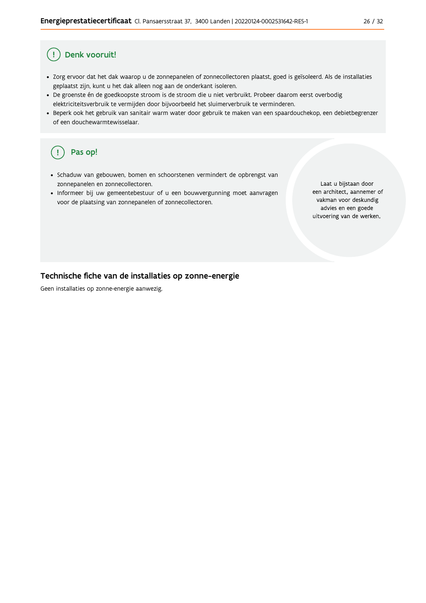#### Denk vooruit! Ţ

- · Zorg ervoor dat het dak waarop u de zonnepanelen of zonnecollectoren plaatst, goed is geïsoleerd. Als de installaties geplaatst zijn, kunt u het dak alleen nog aan de onderkant isoleren.
- · De groenste én de goedkoopste stroom is de stroom die u niet verbruikt. Probeer daarom eerst overbodig elektriciteitsverbruik te vermijden door bijvoorbeeld het sluimerverbruik te verminderen.
- · Beperk ook het gebruik van sanitair warm water door gebruik te maken van een spaardouchekop, een debietbegrenzer of een douchewarmtewisselaar.

#### Pas op! ( !

- · Schaduw van gebouwen, bomen en schoorstenen vermindert de opbrengst van zonnepanelen en zonnecollectoren.
- Informeer bij uw gemeentebestuur of u een bouwvergunning moet aanvragen voor de plaatsing van zonnepanelen of zonnecollectoren.

Laat u bijstaan door een architect, aannemer of vakman voor deskundig advies en een goede uitvoering van de werken.

## Technische fiche van de installaties op zonne-energie

Geen installaties op zonne-energie aanwezig.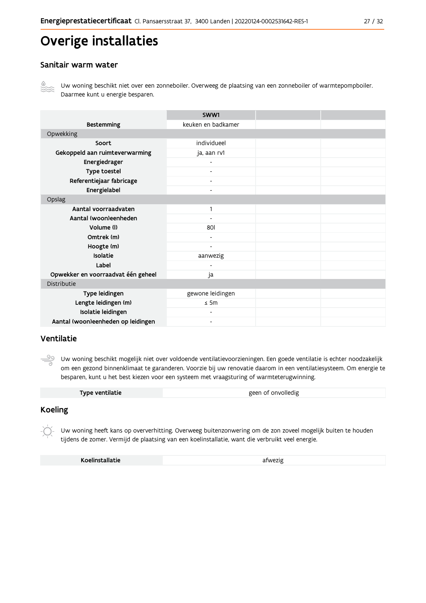# Overige installaties

### Sanitair warm water

![](_page_26_Picture_3.jpeg)

Uw woning beschikt niet over een zonneboiler. Overweeg de plaatsing van een zonneboiler of warmtepompboiler. Daarmee kunt u energie besparen.

|                                    | SWW1                     |  |  |  |  |
|------------------------------------|--------------------------|--|--|--|--|
| <b>Bestemming</b>                  | keuken en badkamer       |  |  |  |  |
| Opwekking                          |                          |  |  |  |  |
| Soort                              | individueel              |  |  |  |  |
| Gekoppeld aan ruimteverwarming     | ja, aan rv1              |  |  |  |  |
| Energiedrager                      |                          |  |  |  |  |
| Type toestel                       |                          |  |  |  |  |
| Referentiejaar fabricage           | Ξ.                       |  |  |  |  |
| Energielabel                       | $\overline{\phantom{0}}$ |  |  |  |  |
| Opslag                             |                          |  |  |  |  |
| Aantal voorraadvaten               | 1                        |  |  |  |  |
| Aantal (woon)eenheden              |                          |  |  |  |  |
| Volume (I)                         | 801                      |  |  |  |  |
| Omtrek (m)                         | $\overline{\phantom{0}}$ |  |  |  |  |
| Hoogte (m)                         | ٠                        |  |  |  |  |
| Isolatie                           | aanwezig                 |  |  |  |  |
| Label                              |                          |  |  |  |  |
| Opwekker en voorraadvat één geheel | ja                       |  |  |  |  |
| Distributie                        |                          |  |  |  |  |
| Type leidingen                     | gewone leidingen         |  |  |  |  |
| Lengte leidingen (m)               | $\leq$ 5m                |  |  |  |  |
| Isolatie leidingen                 |                          |  |  |  |  |
| Aantal (woon)eenheden op leidingen | $\overline{\phantom{a}}$ |  |  |  |  |

## Ventilatie

ூ Uw woning beschikt mogelijk niet over voldoende ventilatievoorzieningen. Een goede ventilatie is echter noodzakelijk om een gezond binnenklimaat te garanderen. Voorzie bij uw renovatie daarom in een ventilatiesysteem. Om energie te besparen, kunt u het best kiezen voor een systeem met vraagsturing of warmteterugwinning.

## **Koeling**

Uw woning heeft kans op oververhitting. Overweeg buitenzonwering om de zon zoveel mogelijk buiten te houden tijdens de zomer. Vermijd de plaatsing van een koelinstallatie, want die verbruikt veel energie.

Koelinstallatie

afwezig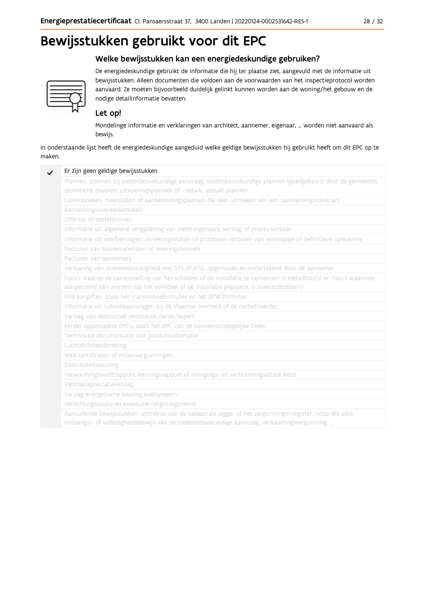# Bewijsstukken gebruikt voor dit EPC

## Welke bewijsstukken kan een energiedeskundige gebruiken?

![](_page_27_Picture_3.jpeg)

De energiedeskundige gebruikt de informatie die hij ter plaatse ziet, aangevuld met de informatie uit bewijsstukken. Alleen documenten die voldoen aan de voorwaarden van het inspectieprotocol worden aanvaard. Ze moeten bijvoorbeeld duidelijk gelinkt kunnen worden aan de woning/het gebouw en de nodige detailinformatie bevatten.

## Let op!

Mondelinge informatie en verklaringen van architect, aannemer, eigenaar, ... worden niet aanvaard als bewijs.

In onderstaande lijst heeft de energiedeskundige aangeduid welke geldige bewijsstukken hij gebruikt heeft om dit EPC op te maken.

| Plannen: plannen bij stedenbouwkundige aanvraag, stedenbouwkundige plannen (goedgekeurd door de gemeente),          |
|---------------------------------------------------------------------------------------------------------------------|
| technische plannen, uitvoeringsplannen of -details, asbuilt-plannen                                                 |
| Lastenboeken, meetstaten of aanbestedingsplannen die deel uitmaken van een (aannemings)contract                     |
| Aannemingsovereenkomsten                                                                                            |
| Offertes of bestelbonnen                                                                                            |
| Informatie uit algemene vergadering van mede-eigenaars: verslag of proces-verbaal                                   |
| Informatie uit werfverslagen, vorderingsstaten of processen-verbalen van voorlopige of definitieve oplevering       |
| Facturen van bouwmaterialen of leveringsbonnen                                                                      |
| Facturen van aannemers                                                                                              |
| Verklaring van overeenkomstigheid met STS of ATG, opgemaakt en ondertekend door de aannemer                         |
| Foto's waarop de samenstelling van het schildeel of de installatie te herkennen is (detailfoto's) en foto's waarmee |
| aangetoond kan worden dat het schildeel of de installatie geplaatst is (overzichtsfoto's)                           |
| EPB-aangiften, zoals het transmissieformulier en het EPW-formulier                                                  |
| Informatie uit subsidieaanvragen bij de Vlaamse overheid of de netbetheerder                                        |
| Verslag van destructief onderzoek derde/expert                                                                      |
| Eerder opgemaakte EPC's, zoals het EPC van de Gemeenschappelijke Delen                                              |
| Technische documentatie met productinformatie                                                                       |
| Luchtdichtheidsmeting                                                                                               |
| WKK-certificaten of milieuvergunningen                                                                              |
| Elektriciteitskeuring                                                                                               |
| Verwarmingsauditrapport, keuringsrapport of reinigings- en verbrandingsattest ketel                                 |
| Ventilatieprestatieverslag                                                                                          |
| Verslag energetische keuring koelsysteem                                                                            |
| Verlichtingsstudie en eventuele relightingpremie                                                                    |
| Aanvullende bewijsstukken: uittreksel van de kadastrale legger of het vergunningenregister, notariële akte,         |
| ontvangst- of volledigheidsbewijs van de stedenbouwkundige aanvraag, verkavelingsvergunning,                        |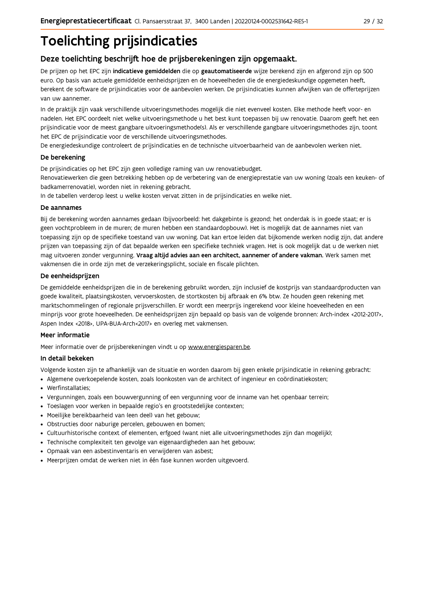# **Toelichting prijsindicaties**

## Deze toelichting beschrijft hoe de prijsberekeningen zijn opgemaakt.

De prijzen op het EPC zijn indicatieve gemiddelden die op geautomatiseerde wijze berekend zijn en afgerond zijn op 500 euro. Op basis van actuele gemiddelde eenheidsprijzen en de hoeveelheden die de energiedeskundige opgemeten heeft, berekent de software de prijsindicaties voor de aanbevolen werken. De prijsindicaties kunnen afwijken van de offerteprijzen van uw aannemer.

In de praktijk zijn vaak verschillende uitvoeringsmethodes mogelijk die niet evenveel kosten. Elke methode heeft voor- en nadelen. Het EPC oordeelt niet welke uitvoeringsmethode u het best kunt toepassen bij uw renovatie. Daarom geeft het een prijsindicatie voor de meest gangbare uitvoeringsmethode(s). Als er verschillende gangbare uitvoeringsmethodes zijn, toont het EPC de prijsindicatie voor de verschillende uitvoeringsmethodes.

De energiedeskundige controleert de prijsindicaties en de technische uitvoerbaarheid van de aanbevolen werken niet.

### De berekening

De prijsindicaties op het EPC zijn geen volledige raming van uw renovatiebudget.

Renovatiewerken die geen betrekking hebben op de verbetering van de energieprestatie van uw woning (zoals een keuken- of badkamerrenovatie), worden niet in rekening gebracht.

In de tabellen verderop leest u welke kosten vervat zitten in de prijsindicaties en welke niet.

### De aannames

Bij de berekening worden aannames gedaan (bijvoorbeeld: het dakgebinte is gezond; het onderdak is in goede staat; er is geen vochtprobleem in de muren; de muren hebben een standaardopbouw). Het is mogelijk dat de aannames niet van toepassing zijn op de specifieke toestand van uw woning. Dat kan ertoe leiden dat bijkomende werken nodig zijn, dat andere prijzen van toepassing zijn of dat bepaalde werken een specifieke techniek vragen. Het is ook mogelijk dat u de werken niet mag uitvoeren zonder vergunning. Vraag altijd advies aan een architect, aannemer of andere vakman. Werk samen met vakmensen die in orde zijn met de verzekeringsplicht, sociale en fiscale plichten.

### De eenheidsprijzen

De gemiddelde eenheidspriizen die in de berekening gebruikt worden, zijn inclusief de kostpriis van standaardproducten van goede kwaliteit, plaatsingskosten, vervoerskosten, de stortkosten bij afbraak en 6% btw. Ze houden geen rekening met marktschommelingen of regionale prijsverschillen. Er wordt een meerprijs ingerekend voor kleine hoeveelheden en een minprijs voor grote hoeveelheden. De eenheidsprijzen zijn bepaald op basis van de volgende bronnen: Arch-index <2012-2017>, Aspen Index <2018>, UPA-BUA-Arch<2017> en overleg met vakmensen.

### Meer informatie

Meer informatie over de prijsberekeningen vindt u op www.energiesparen.be.

### In detail bekeken

Volgende kosten zijn te afhankelijk van de situatie en worden daarom bij geen enkele prijsindicatie in rekening gebracht:

- Algemene overkoepelende kosten, zoals loonkosten van de architect of ingenieur en coördinatiekosten;
- Werfinstallaties:
- · Vergunningen, zoals een bouwvergunning of een vergunning voor de inname van het openbaar terrein;
- Toeslagen voor werken in bepaalde regio's en grootstedelijke contexten:
- · Moeilijke bereikbaarheid van (een deel) van het gebouw;
- · Obstructies door naburige percelen, gebouwen en bomen;
- · Cultuurhistorische context of elementen, erfgoed (want niet alle uitvoeringsmethodes zijn dan mogelijk);
- · Technische complexiteit ten gevolge van eigenaardigheden aan het gebouw;
- · Opmaak van een asbestinventaris en verwijderen van asbest;
- · Meerprijzen omdat de werken niet in één fase kunnen worden uitgevoerd.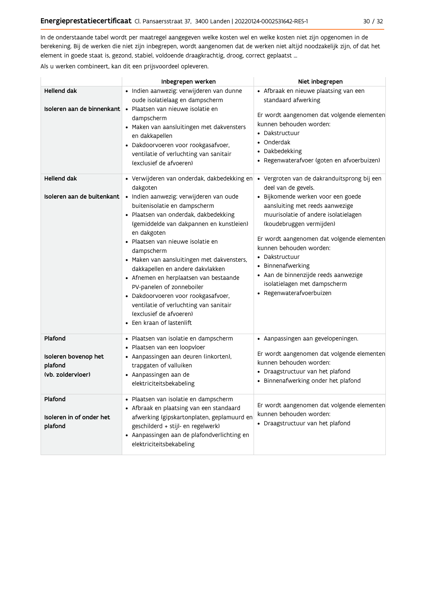In de onderstaande tabel wordt per maatregel aangegeven welke kosten wel en welke kosten niet zijn opgenomen in de berekening. Bij de werken die niet zijn inbegrepen, wordt aangenomen dat de werken niet altijd noodzakelijk zijn, of dat het element in goede staat is, gezond, stabiel, voldoende draagkrachtig, droog, correct geplaatst ...

Als u werken combineert, kan dit een prijsvoordeel opleveren.

|                                                                 | Inbegrepen werken                                                                                                                                                                                                                                                                                                                                                                                                                                                                                                                                                                           | Niet inbegrepen                                                                                                                                                                                                                                                                                                                                                                                                                     |
|-----------------------------------------------------------------|---------------------------------------------------------------------------------------------------------------------------------------------------------------------------------------------------------------------------------------------------------------------------------------------------------------------------------------------------------------------------------------------------------------------------------------------------------------------------------------------------------------------------------------------------------------------------------------------|-------------------------------------------------------------------------------------------------------------------------------------------------------------------------------------------------------------------------------------------------------------------------------------------------------------------------------------------------------------------------------------------------------------------------------------|
| <b>Hellend dak</b>                                              | · Indien aanwezig: verwijderen van dunne<br>oude isolatielaag en dampscherm<br><b>Isoleren aan de binnenkant</b> • Plaatsen van nieuwe isolatie en<br>dampscherm<br>• Maken van aansluitingen met dakvensters<br>en dakkapellen<br>· Dakdoorvoeren voor rookgasafvoer,<br>ventilatie of verluchting van sanitair<br>(exclusief de afvoeren)                                                                                                                                                                                                                                                 | • Afbraak en nieuwe plaatsing van een<br>standaard afwerking<br>Er wordt aangenomen dat volgende elementen<br>kunnen behouden worden:<br>• Dakstructuur<br>• Onderdak<br>• Dakbedekking<br>· Regenwaterafvoer (goten en afvoerbuizen)                                                                                                                                                                                               |
| <b>Hellend dak</b><br>Isoleren aan de buitenkant                | • Verwijderen van onderdak, dakbedekking en<br>dakgoten<br>· Indien aanwezig: verwijderen van oude<br>buitenisolatie en dampscherm<br>· Plaatsen van onderdak, dakbedekking<br>(gemiddelde van dakpannen en kunstleien)<br>en dakgoten<br>· Plaatsen van nieuwe isolatie en<br>dampscherm<br>• Maken van aansluitingen met dakvensters,<br>dakkapellen en andere dakvlakken<br>• Afnemen en herplaatsen van bestaande<br>PV-panelen of zonneboiler<br>· Dakdoorvoeren voor rookgasafvoer,<br>ventilatie of verluchting van sanitair<br>(exclusief de afvoeren)<br>• Een kraan of lastenlift | · Vergroten van de dakranduitsprong bij een<br>deel van de gevels.<br>· Bijkomende werken voor een goede<br>aansluiting met reeds aanwezige<br>muurisolatie of andere isolatielagen<br>(koudebruggen vermijden)<br>Er wordt aangenomen dat volgende elementen<br>kunnen behouden worden:<br>• Dakstructuur<br>• Binnenafwerking<br>· Aan de binnenzijde reeds aanwezige<br>isolatielagen met dampscherm<br>· Regenwaterafvoerbuizen |
| Plafond<br>Isoleren bovenop het<br>plafond<br>(vb. zoldervloer) | · Plaatsen van isolatie en dampscherm<br>• Plaatsen van een loopvloer<br>• Aanpassingen aan deuren (inkorten),<br>trapgaten of valluiken<br>• Aanpassingen aan de<br>elektriciteitsbekabeling                                                                                                                                                                                                                                                                                                                                                                                               | • Aanpassingen aan gevelopeningen.<br>Er wordt aangenomen dat volgende elementen<br>kunnen behouden worden:<br>• Draagstructuur van het plafond<br>• Binnenafwerking onder het plafond                                                                                                                                                                                                                                              |
| Plafond<br>Isoleren in of onder het<br>plafond                  | · Plaatsen van isolatie en dampscherm<br>• Afbraak en plaatsing van een standaard<br>afwerking (gipskartonplaten, geplamuurd en<br>geschilderd + stijl- en regelwerk)<br>• Aanpassingen aan de plafondverlichting en<br>elektriciteitsbekabeling                                                                                                                                                                                                                                                                                                                                            | Er wordt aangenomen dat volgende elementen<br>kunnen behouden worden:<br>• Draagstructuur van het plafond                                                                                                                                                                                                                                                                                                                           |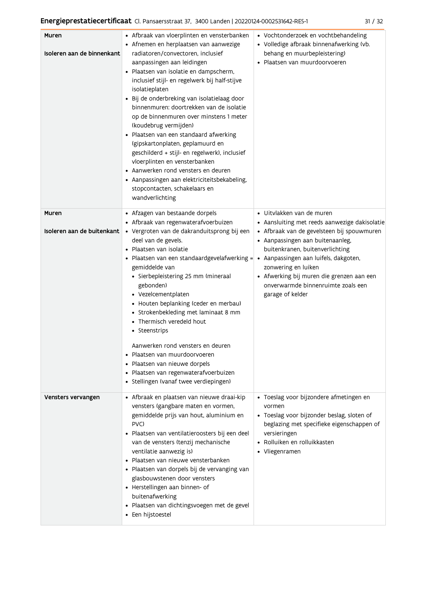| ×<br>۰,<br>×<br>۰, |
|--------------------|
|--------------------|

| Muren<br>Isoleren aan de binnenkant | • Afbraak van vloerplinten en vensterbanken<br>• Afnemen en herplaatsen van aanwezige<br>radiatoren/convectoren, inclusief<br>aanpassingen aan leidingen<br>· Plaatsen van isolatie en dampscherm,<br>inclusief stijl- en regelwerk bij half-stijve<br>isolatieplaten<br>· Bij de onderbreking van isolatielaag door<br>binnenmuren: doortrekken van de isolatie<br>op de binnenmuren over minstens 1 meter<br>(koudebrug vermijden)<br>Plaatsen van een standaard afwerking<br>(gipskartonplaten, geplamuurd en<br>geschilderd + stijl- en regelwerk), inclusief<br>vloerplinten en vensterbanken<br>• Aanwerken rond vensters en deuren<br>• Aanpassingen aan elektriciteitsbekabeling,<br>stopcontacten, schakelaars en<br>wandverlichting | • Vochtonderzoek en vochtbehandeling<br>• Volledige afbraak binnenafwerking (vb.<br>behang en muurbepleistering)<br>· Plaatsen van muurdoorvoeren                                                                                                                                                                                                                      |
|-------------------------------------|-----------------------------------------------------------------------------------------------------------------------------------------------------------------------------------------------------------------------------------------------------------------------------------------------------------------------------------------------------------------------------------------------------------------------------------------------------------------------------------------------------------------------------------------------------------------------------------------------------------------------------------------------------------------------------------------------------------------------------------------------|------------------------------------------------------------------------------------------------------------------------------------------------------------------------------------------------------------------------------------------------------------------------------------------------------------------------------------------------------------------------|
| Muren<br>Isoleren aan de buitenkant | • Afzagen van bestaande dorpels<br>• Afbraak van regenwaterafvoerbuizen<br>· Vergroten van de dakranduitsprong bij een<br>deel van de gevels.<br>Plaatsen van isolatie<br>Plaatsen van een standaardgevelafwerking =<br>gemiddelde van<br>· Sierbepleistering 25 mm (mineraal<br>gebonden)<br>• Vezelcementplaten<br>• Houten beplanking (ceder en merbau)<br>• Strokenbekleding met laminaat 8 mm<br>• Thermisch veredeld hout<br>• Steenstrips<br>Aanwerken rond vensters en deuren<br>Plaatsen van muurdoorvoeren<br>Plaatsen van nieuwe dorpels<br>· Plaatsen van regenwaterafvoerbuizen<br>· Stellingen (vanaf twee verdiepingen)                                                                                                        | • Uitvlakken van de muren<br>• Aansluiting met reeds aanwezige dakisolatie<br>• Afbraak van de gevelsteen bij spouwmuren<br>• Aanpassingen aan buitenaanleg,<br>buitenkranen, buitenverlichting<br>• Aanpassingen aan luifels, dakgoten,<br>zonwering en luiken<br>• Afwerking bij muren die grenzen aan een<br>onverwarmde binnenruimte zoals een<br>garage of kelder |
| Vensters vervangen                  | • Afbraak en plaatsen van nieuwe draai-kip<br>vensters (gangbare maten en vormen,<br>gemiddelde prijs van hout, aluminium en<br>PVC)<br>· Plaatsen van ventilatieroosters bij een deel<br>van de vensters (tenzij mechanische<br>ventilatie aanwezig is)<br>Plaatsen van nieuwe vensterbanken<br>Plaatsen van dorpels bij de vervanging van<br>glasbouwstenen door vensters<br>• Herstellingen aan binnen- of<br>buitenafwerking<br>Plaatsen van dichtingsvoegen met de gevel<br>• Een hijstoestel                                                                                                                                                                                                                                            | · Toeslag voor bijzondere afmetingen en<br>vormen<br>• Toeslag voor bijzonder beslag, sloten of<br>beglazing met specifieke eigenschappen of<br>versieringen<br>• Rolluiken en rolluikkasten<br>• Vliegenramen                                                                                                                                                         |